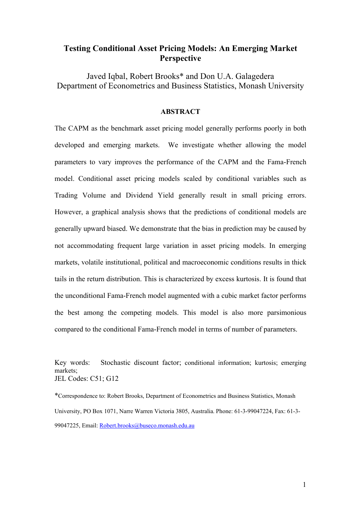# **Testing Conditional Asset Pricing Models: An Emerging Market Perspective**

Javed Iqbal, Robert Brooks\* and Don U.A. Galagedera Department of Econometrics and Business Statistics, Monash University

# **ABSTRACT**

The CAPM as the benchmark asset pricing model generally performs poorly in both developed and emerging markets. We investigate whether allowing the model parameters to vary improves the performance of the CAPM and the Fama-French model. Conditional asset pricing models scaled by conditional variables such as Trading Volume and Dividend Yield generally result in small pricing errors. However, a graphical analysis shows that the predictions of conditional models are generally upward biased. We demonstrate that the bias in prediction may be caused by not accommodating frequent large variation in asset pricing models. In emerging markets, volatile institutional, political and macroeconomic conditions results in thick tails in the return distribution. This is characterized by excess kurtosis. It is found that the unconditional Fama-French model augmented with a cubic market factor performs the best among the competing models. This model is also more parsimonious compared to the conditional Fama-French model in terms of number of parameters.

Key words: Stochastic discount factor; conditional information; kurtosis; emerging markets; JEL Codes: C51; G12

\*Correspondence to: Robert Brooks, Department of Econometrics and Business Statistics, Monash University, PO Box 1071, Narre Warren Victoria 3805, Australia. Phone: 61-3-99047224, Fax: 61-3- 99047225, Email: Robert.brooks@buseco.monash.edu.au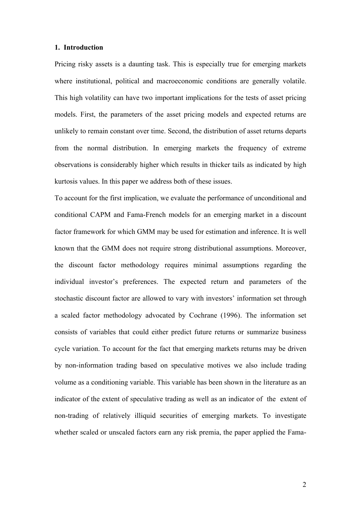### **1. Introduction**

Pricing risky assets is a daunting task. This is especially true for emerging markets where institutional, political and macroeconomic conditions are generally volatile. This high volatility can have two important implications for the tests of asset pricing models. First, the parameters of the asset pricing models and expected returns are unlikely to remain constant over time. Second, the distribution of asset returns departs from the normal distribution. In emerging markets the frequency of extreme observations is considerably higher which results in thicker tails as indicated by high kurtosis values. In this paper we address both of these issues.

To account for the first implication, we evaluate the performance of unconditional and conditional CAPM and Fama-French models for an emerging market in a discount factor framework for which GMM may be used for estimation and inference. It is well known that the GMM does not require strong distributional assumptions. Moreover, the discount factor methodology requires minimal assumptions regarding the individual investor's preferences. The expected return and parameters of the stochastic discount factor are allowed to vary with investors' information set through a scaled factor methodology advocated by Cochrane (1996). The information set consists of variables that could either predict future returns or summarize business cycle variation. To account for the fact that emerging markets returns may be driven by non-information trading based on speculative motives we also include trading volume as a conditioning variable. This variable has been shown in the literature as an indicator of the extent of speculative trading as well as an indicator of the extent of non-trading of relatively illiquid securities of emerging markets. To investigate whether scaled or unscaled factors earn any risk premia, the paper applied the Fama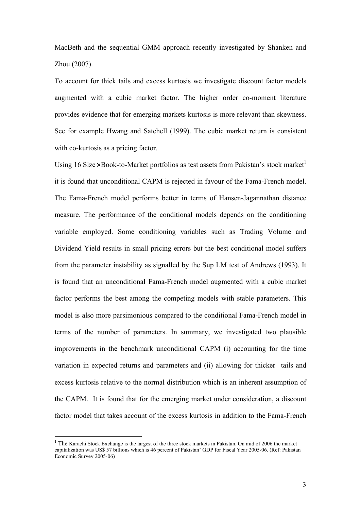MacBeth and the sequential GMM approach recently investigated by Shanken and Zhou (2007).

To account for thick tails and excess kurtosis we investigate discount factor models augmented with a cubic market factor. The higher order co-moment literature provides evidence that for emerging markets kurtosis is more relevant than skewness. See for example Hwang and Satchell (1999). The cubic market return is consistent with co-kurtosis as a pricing factor.

Using 16 Size $\times$ Book-to-Market portfolios as test assets from Pakistan's stock market it is found that unconditional CAPM is rejected in favour of the Fama-French model. The Fama-French model performs better in terms of Hansen-Jagannathan distance measure. The performance of the conditional models depends on the conditioning variable employed. Some conditioning variables such as Trading Volume and Dividend Yield results in small pricing errors but the best conditional model suffers from the parameter instability as signalled by the Sup LM test of Andrews (1993). It is found that an unconditional Fama-French model augmented with a cubic market factor performs the best among the competing models with stable parameters. This model is also more parsimonious compared to the conditional Fama-French model in terms of the number of parameters. In summary, we investigated two plausible improvements in the benchmark unconditional CAPM (i) accounting for the time variation in expected returns and parameters and (ii) allowing for thicker tails and excess kurtosis relative to the normal distribution which is an inherent assumption of the CAPM. It is found that for the emerging market under consideration, a discount factor model that takes account of the excess kurtosis in addition to the Fama-French

 $\overline{a}$ 

<sup>&</sup>lt;sup>1</sup> The Karachi Stock Exchange is the largest of the three stock markets in Pakistan. On mid of 2006 the market capitalization was US\$ 57 billions which is 46 percent of Pakistan' GDP for Fiscal Year 2005-06. (Ref: Pakistan Economic Survey 2005-06)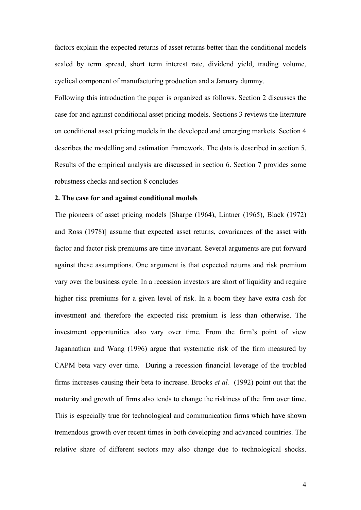factors explain the expected returns of asset returns better than the conditional models scaled by term spread, short term interest rate, dividend yield, trading volume, cyclical component of manufacturing production and a January dummy.

Following this introduction the paper is organized as follows. Section 2 discusses the case for and against conditional asset pricing models. Sections 3 reviews the literature on conditional asset pricing models in the developed and emerging markets. Section 4 describes the modelling and estimation framework. The data is described in section 5. Results of the empirical analysis are discussed in section 6. Section 7 provides some robustness checks and section 8 concludes

### **2. The case for and against conditional models**

The pioneers of asset pricing models [Sharpe (1964), Lintner (1965), Black (1972) and Ross (1978)] assume that expected asset returns, covariances of the asset with factor and factor risk premiums are time invariant. Several arguments are put forward against these assumptions. One argument is that expected returns and risk premium vary over the business cycle. In a recession investors are short of liquidity and require higher risk premiums for a given level of risk. In a boom they have extra cash for investment and therefore the expected risk premium is less than otherwise. The investment opportunities also vary over time. From the firm's point of view Jagannathan and Wang (1996) argue that systematic risk of the firm measured by CAPM beta vary over time. During a recession financial leverage of the troubled firms increases causing their beta to increase. Brooks *et al.* (1992) point out that the maturity and growth of firms also tends to change the riskiness of the firm over time. This is especially true for technological and communication firms which have shown tremendous growth over recent times in both developing and advanced countries. The relative share of different sectors may also change due to technological shocks.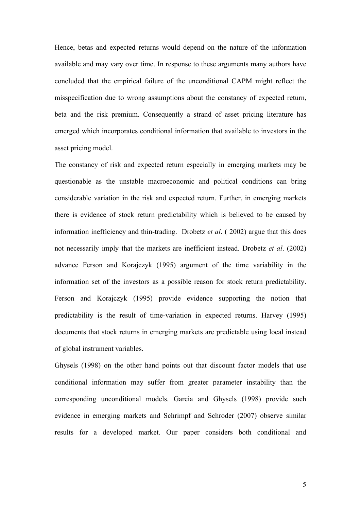Hence, betas and expected returns would depend on the nature of the information available and may vary over time. In response to these arguments many authors have concluded that the empirical failure of the unconditional CAPM might reflect the misspecification due to wrong assumptions about the constancy of expected return, beta and the risk premium. Consequently a strand of asset pricing literature has emerged which incorporates conditional information that available to investors in the asset pricing model.

The constancy of risk and expected return especially in emerging markets may be questionable as the unstable macroeconomic and political conditions can bring considerable variation in the risk and expected return. Further, in emerging markets there is evidence of stock return predictability which is believed to be caused by information inefficiency and thin-trading. Drobetz *et al*. ( 2002) argue that this does not necessarily imply that the markets are inefficient instead. Drobetz *et al*. (2002) advance Ferson and Korajczyk (1995) argument of the time variability in the information set of the investors as a possible reason for stock return predictability. Ferson and Korajczyk (1995) provide evidence supporting the notion that predictability is the result of time-variation in expected returns. Harvey (1995) documents that stock returns in emerging markets are predictable using local instead of global instrument variables.

Ghysels (1998) on the other hand points out that discount factor models that use conditional information may suffer from greater parameter instability than the corresponding unconditional models. Garcia and Ghysels (1998) provide such evidence in emerging markets and Schrimpf and Schroder (2007) observe similar results for a developed market. Our paper considers both conditional and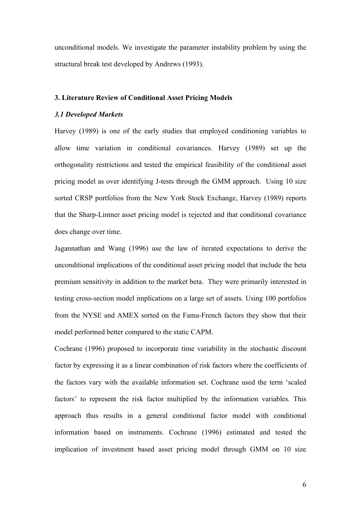unconditional models. We investigate the parameter instability problem by using the structural break test developed by Andrews (1993).

### **3. Literature Review of Conditional Asset Pricing Models**

# *3.1 Developed Markets*

Harvey (1989) is one of the early studies that employed conditioning variables to allow time variation in conditional covariances. Harvey (1989) set up the orthogonality restrictions and tested the empirical feasibility of the conditional asset pricing model as over identifying J-tests through the GMM approach. Using 10 size sorted CRSP portfolios from the New York Stock Exchange, Harvey (1989) reports that the Sharp-Lintner asset pricing model is rejected and that conditional covariance does change over time.

Jagannathan and Wang (1996) use the law of iterated expectations to derive the unconditional implications of the conditional asset pricing model that include the beta premium sensitivity in addition to the market beta. They were primarily interested in testing cross-section model implications on a large set of assets. Using 100 portfolios from the NYSE and AMEX sorted on the Fama-French factors they show that their model performed better compared to the static CAPM.

Cochrane (1996) proposed to incorporate time variability in the stochastic discount factor by expressing it as a linear combination of risk factors where the coefficients of the factors vary with the available information set. Cochrane used the term 'scaled factors' to represent the risk factor multiplied by the information variables. This approach thus results in a general conditional factor model with conditional information based on instruments. Cochrane (1996) estimated and tested the implication of investment based asset pricing model through GMM on 10 size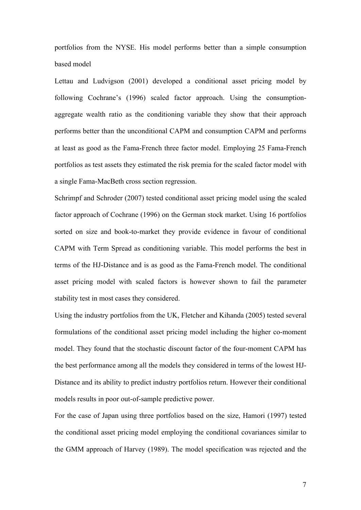portfolios from the NYSE. His model performs better than a simple consumption based model

Lettau and Ludvigson (2001) developed a conditional asset pricing model by following Cochrane's (1996) scaled factor approach. Using the consumptionaggregate wealth ratio as the conditioning variable they show that their approach performs better than the unconditional CAPM and consumption CAPM and performs at least as good as the Fama-French three factor model. Employing 25 Fama-French portfolios as test assets they estimated the risk premia for the scaled factor model with a single Fama-MacBeth cross section regression.

Schrimpf and Schroder (2007) tested conditional asset pricing model using the scaled factor approach of Cochrane (1996) on the German stock market. Using 16 portfolios sorted on size and book-to-market they provide evidence in favour of conditional CAPM with Term Spread as conditioning variable. This model performs the best in terms of the HJ-Distance and is as good as the Fama-French model. The conditional asset pricing model with scaled factors is however shown to fail the parameter stability test in most cases they considered.

Using the industry portfolios from the UK, Fletcher and Kihanda (2005) tested several formulations of the conditional asset pricing model including the higher co-moment model. They found that the stochastic discount factor of the four-moment CAPM has the best performance among all the models they considered in terms of the lowest HJ-Distance and its ability to predict industry portfolios return. However their conditional models results in poor out-of-sample predictive power.

For the case of Japan using three portfolios based on the size, Hamori (1997) tested the conditional asset pricing model employing the conditional covariances similar to the GMM approach of Harvey (1989). The model specification was rejected and the

7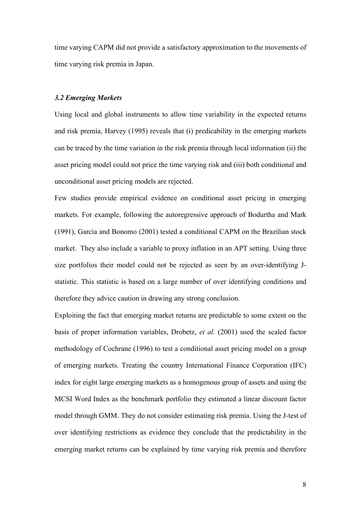time varying CAPM did not provide a satisfactory approximation to the movements of time varying risk premia in Japan.

### *3.2 Emerging Markets*

Using local and global instruments to allow time variability in the expected returns and risk premia, Harvey (1995) reveals that (i) predicability in the emerging markets can be traced by the time variation in the risk premia through local information (ii) the asset pricing model could not price the time varying risk and (iii) both conditional and unconditional asset pricing models are rejected.

Few studies provide empirical evidence on conditional asset pricing in emerging markets. For example, following the autoregressive approach of Bodurtha and Mark (1991), Garcia and Bonomo (2001) tested a conditional CAPM on the Brazilian stock market. They also include a variable to proxy inflation in an APT setting. Using three size portfolios their model could not be rejected as seen by an over-identifying Jstatistic. This statistic is based on a large number of over identifying conditions and therefore they advice caution in drawing any strong conclusion.

Exploiting the fact that emerging market returns are predictable to some extent on the basis of proper information variables, Drobetz, *et al.* (2001) used the scaled factor methodology of Cochrane (1996) to test a conditional asset pricing model on a group of emerging markets. Treating the country International Finance Corporation (IFC) index for eight large emerging markets as a homogenous group of assets and using the MCSI Word Index as the benchmark portfolio they estimated a linear discount factor model through GMM. They do not consider estimating risk premia. Using the J-test of over identifying restrictions as evidence they conclude that the predictability in the emerging market returns can be explained by time varying risk premia and therefore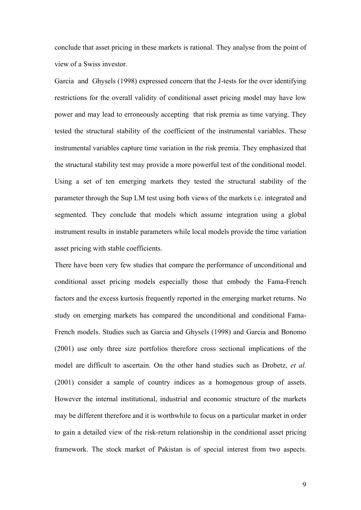conclude that asset pricing in these markets is rational. They analyse from the point of view of a Swiss investor.

Garcia and Ghysels (1998) expressed concern that the J-tests for the over identifying restrictions for the overall validity of conditional asset pricing model may have low power and may lead to erroneously accepting that risk premia as time varying. They tested the structural stability of the coefficient of the instrumental variables. These instrumental variables capture time variation in the risk premia. They emphasized that the structural stability test may provide a more powerful test of the conditional model. Using a set of ten emerging markets they tested the structural stability of the parameter through the Sup LM test using both views of the markets i.e. integrated and segmented. They conclude that models which assume integration using a global instrument results in instable parameters while local models provide the time variation asset pricing with stable coefficients.

There have been very few studies that compare the performance of unconditional and conditional asset pricing models especially those that embody the Fama-French factors and the excess kurtosis frequently reported in the emerging market returns. No study on emerging markets has compared the unconditional and conditional Fama-French models. Studies such as Garcia and Ghysels (1998) and Garcia and Bonomo (2001) use only three size portfolios therefore cross sectional implications of the model are difficult to ascertain. On the other hand studies such as Drobetz, *et al.* (2001) consider a sample of country indices as a homogenous group of assets. However the internal institutional, industrial and economic structure of the markets may be different therefore and it is worthwhile to focus on a particular market in order to gain a detailed view of the risk-return relationship in the conditional asset pricing framework. The stock market of Pakistan is of special interest from two aspects.

9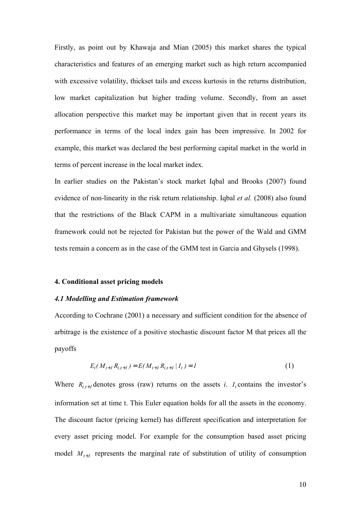Firstly, as point out by Khawaja and Mian (2005) this market shares the typical characteristics and features of an emerging market such as high return accompanied with excessive volatility, thickset tails and excess kurtosis in the returns distribution, low market capitalization but higher trading volume. Secondly, from an asset allocation perspective this market may be important given that in recent years its performance in terms of the local index gain has been impressive. In 2002 for example, this market was declared the best performing capital market in the world in terms of percent increase in the local market index.

In earlier studies on the Pakistan's stock market Iqbal and Brooks (2007) found evidence of non-linearity in the risk return relationship. Iqbal *et al.* (2008) also found that the restrictions of the Black CAPM in a multivariate simultaneous equation framework could not be rejected for Pakistan but the power of the Wald and GMM tests remain a concern as in the case of the GMM test in Garcia and Ghysels (1998).

### **4. Conditional asset pricing models**

### *4.1 Modelling and Estimation framework*

According to Cochrane (2001) a necessary and sufficient condition for the absence of arbitrage is the existence of a positive stochastic discount factor M that prices all the payoffs

$$
E_t(M_{t+1}R_{i,t+1}) = E(M_{t+1}R_{i,t+1} | I_t) = I
$$
\n(1)

Where  $R_{i,t+1}$  denotes gross (raw) returns on the assets *i*.  $I_t$  contains the investor's information set at time t. This Euler equation holds for all the assets in the economy. The discount factor (pricing kernel) has different specification and interpretation for every asset pricing model. For example for the consumption based asset pricing model  $M_{t+1}$  represents the marginal rate of substitution of utility of consumption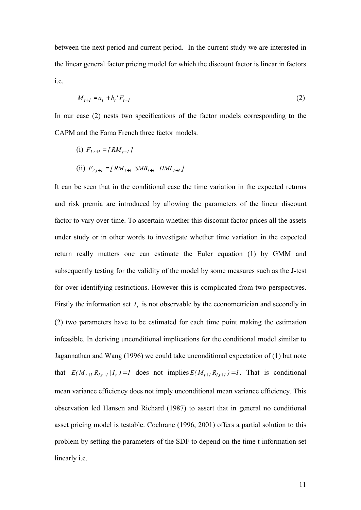between the next period and current period. In the current study we are interested in the linear general factor pricing model for which the discount factor is linear in factors i.e.

$$
M_{t+1} = a_t + b_t' F_{t+1}
$$
 (2)

In our case (2) nests two specifications of the factor models corresponding to the CAPM and the Fama French three factor models.

(i)  $F_{l,t+1} = [RM_{t+1}]$  $(iii)$   $F_{2,t+1} = [RM_{t+1} \, SMB_{t+1} \, HML_{t+1}]$ 

It can be seen that in the conditional case the time variation in the expected returns and risk premia are introduced by allowing the parameters of the linear discount factor to vary over time. To ascertain whether this discount factor prices all the assets under study or in other words to investigate whether time variation in the expected return really matters one can estimate the Euler equation (1) by GMM and subsequently testing for the validity of the model by some measures such as the J-test for over identifying restrictions. However this is complicated from two perspectives. Firstly the information set  $I_t$  is not observable by the econometrician and secondly in (2) two parameters have to be estimated for each time point making the estimation infeasible. In deriving unconditional implications for the conditional model similar to Jagannathan and Wang (1996) we could take unconditional expectation of (1) but note that  $E(M_{t+1} R_{i,t+1} | I_t) = I$  does not implies  $E(M_{t+1} R_{i,t+1}) = I$ . That is conditional mean variance efficiency does not imply unconditional mean variance efficiency. This observation led Hansen and Richard (1987) to assert that in general no conditional asset pricing model is testable. Cochrane (1996, 2001) offers a partial solution to this problem by setting the parameters of the SDF to depend on the time t information set linearly i.e.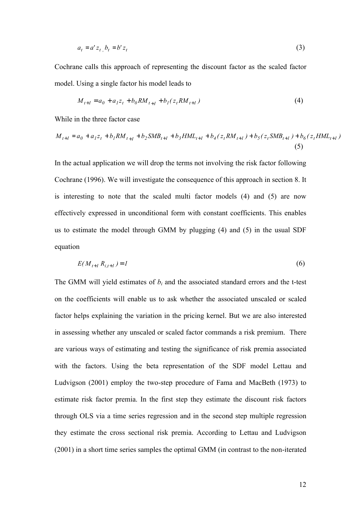$$
a_t = a' z_t, b_t = b' z_t \tag{3}
$$

Cochrane calls this approach of representing the discount factor as the scaled factor model. Using a single factor his model leads to

$$
M_{t+1} = a_0 + a_1 z_t + b_0 R M_{t+1} + b_1 (z_t R M_{t+1})
$$
\n<sup>(4)</sup>

While in the three factor case

$$
M_{t+1} = a_0 + a_1 z_t + b_1 R M_{t+1} + b_2 S M B_{t+1} + b_3 H M L_{t+1} + b_4 (z_t R M_{t+1}) + b_5 (z_t S M B_{t+1}) + b_6 (z_t H M L_{t+1})
$$
\n(5)

In the actual application we will drop the terms not involving the risk factor following Cochrane (1996). We will investigate the consequence of this approach in section 8. It is interesting to note that the scaled multi factor models (4) and (5) are now effectively expressed in unconditional form with constant coefficients. This enables us to estimate the model through GMM by plugging (4) and (5) in the usual SDF equation

$$
E(M_{t+1} R_{i,t+1}) = I \tag{6}
$$

The GMM will yield estimates of  $b_i$  and the associated standard errors and the t-test on the coefficients will enable us to ask whether the associated unscaled or scaled factor helps explaining the variation in the pricing kernel. But we are also interested in assessing whether any unscaled or scaled factor commands a risk premium. There are various ways of estimating and testing the significance of risk premia associated with the factors. Using the beta representation of the SDF model Lettau and Ludvigson (2001) employ the two-step procedure of Fama and MacBeth (1973) to estimate risk factor premia. In the first step they estimate the discount risk factors through OLS via a time series regression and in the second step multiple regression they estimate the cross sectional risk premia. According to Lettau and Ludvigson (2001) in a short time series samples the optimal GMM (in contrast to the non-iterated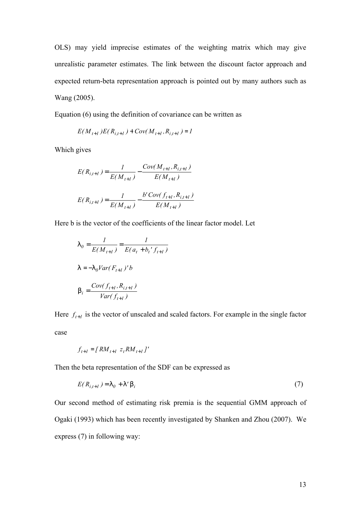OLS) may yield imprecise estimates of the weighting matrix which may give unrealistic parameter estimates. The link between the discount factor approach and expected return-beta representation approach is pointed out by many authors such as Wang (2005).

Equation (6) using the definition of covariance can be written as

$$
E(M_{t+1})E(R_{i,t+1}) + Cov(M_{t+1}, R_{i,t+1}) = I
$$

Which gives

$$
E(R_{i,t+1}) = \frac{1}{E(M_{t+1})} - \frac{Cov(M_{t+1}, R_{i,t+1})}{E(M_{t+1})}
$$

$$
E(R_{i,t+1}) = \frac{1}{E(M_{t+1})} - \frac{b'Cov(f_{t+1}, R_{i,t+1})}{E(M_{t+1})}
$$

Here b is the vector of the coefficients of the linear factor model. Let

$$
\begin{aligned} 1_{0} &= \frac{1}{E(M_{t+1})} = \frac{1}{E(a_{t} + b_{t}^{\prime} f_{t+1})} \\ 1 &= -1_{0}Var(F_{t+1})^{\prime}b \\ 0_{i} &= \frac{Cov(f_{t+1}, R_{i,t+1})}{Var(f_{t+1})} \end{aligned}
$$

Here  $f_{t+1}$  is the vector of unscaled and scaled factors. For example in the single factor case

$$
f_{t+1} = [RM_{t+1} z_t RM_{t+1}]'
$$

Then the beta representation of the SDF can be expressed as

$$
E(R_{i,t+1}) = I_0 + I' \mathbf{b}_i \tag{7}
$$

Our second method of estimating risk premia is the sequential GMM approach of Ogaki (1993) which has been recently investigated by Shanken and Zhou (2007). We express (7) in following way: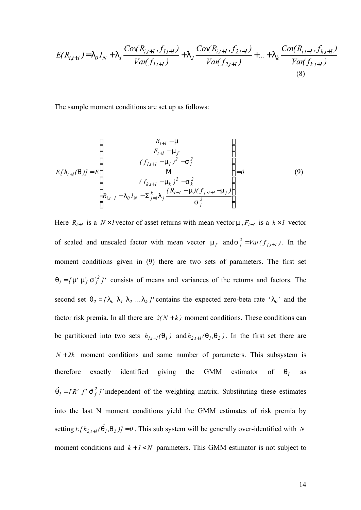$$
E(R_{i,t+1}) = I_0 I_N + I_1 \frac{Cov(R_{i,t+1}, f_{1,t+1})}{Var(f_{1,t+1})} + I_2 \frac{Cov(R_{i,t+1}, f_{2,t+1})}{Var(f_{2,t+1})} + ... + I_k \frac{Cov(R_{i,t+1}, f_{k,t+1})}{Var(f_{k,t+1})}
$$
\n(8)

The sample moment conditions are set up as follows:

$$
E[h_{t+1}(\mathbf{q})] = E\left[\begin{array}{c} R_{t+1} - \mathbf{m} \\ F_{t+1} - \mathbf{m}_f \\ (f_{1,t+1} - \mathbf{m}_1)^2 - S_t^2 \\ \mathbf{M} \\ (f_{k,t+1} - \mathbf{m}_k)^2 - S_k^2 \\ R_{i,t+1} - \mathbf{1}_0 I_N - S_{j=1}^k \mathbf{I}_j \frac{(R_{t+1} - \mathbf{m})(f_{j,t+1} - \mathbf{m}_j)}{S_j^2} \end{array}\right] = 0
$$
 (9)

Here  $R_{t+1}$  is a  $N \times I$  vector of asset returns with mean vector m,  $F_{t+1}$  is a  $k \times I$  vector of scaled and unscaled factor with mean vector  $m_f$  and  $S_j^2 = Var(f_{j,t+1})$  $S_j^2 = Var(f_{j,t+1})$ . In the moment conditions given in (9) there are two sets of parameters. The first set  $q_i = [m' m'_{f} s'_{f} ]'$  consists of means and variances of the returns and factors. The second set  $q_2 = [l_0 l_1 l_2 ... l_k]$  contains the expected zero-beta rate ' $l_0$ ' and the factor risk premia. In all there are  $2(N + k)$  moment conditions. These conditions can be partitioned into two sets  $h_{l,t+1}(q_l)$  and  $h_{2,t+1}(q_l,q_2)$ . In the first set there are  $N + 2k$  moment conditions and same number of parameters. This subsystem is therefore exactly identified giving the GMM estimator of *q<sup>1</sup>* as  $\hat{q}_I = \left( \overline{R}' \cdot \overline{f}' \leq \frac{2}{f} \right)$  independent of the weighting matrix. Substituting these estimates into the last N moment conditions yield the GMM estimates of risk premia by setting  $E[h_{2,t+1}(\hat{q}_1, q_2)] = 0$ . This sub system will be generally over-identified with *N* moment conditions and  $k + 1 < N$  parameters. This GMM estimator is not subject to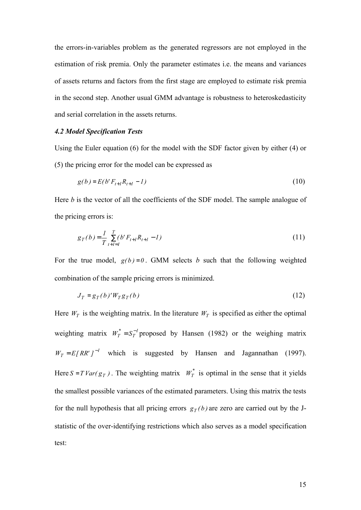the errors-in-variables problem as the generated regressors are not employed in the estimation of risk premia. Only the parameter estimates i.e. the means and variances of assets returns and factors from the first stage are employed to estimate risk premia in the second step. Another usual GMM advantage is robustness to heteroskedasticity and serial correlation in the assets returns.

### *4.2 Model Specification Tests*

Using the Euler equation (6) for the model with the SDF factor given by either (4) or (5) the pricing error for the model can be expressed as

$$
g(b) = E(b'F_{t+1}R_{t+1} - 1)
$$
\n(10)

Here *b* is the vector of all the coefficients of the SDF model. The sample analogue of the pricing errors is:

$$
g_T(b) = \frac{1}{T} \sum_{t+l=1}^{T} (b' F_{t+l} R_{t+l} - 1)
$$
\n(11)

For the true model,  $g(b)=0$ . GMM selects *b* such that the following weighted combination of the sample pricing errors is minimized.

$$
J_T = g_T(b)'W_T g_T(b) \tag{12}
$$

Here  $W_T$  is the weighting matrix. In the literature  $W_T$  is specified as either the optimal weighting matrix  $W_T^* = S_T^{-1}$  $W_T^* = S_T^{-1}$  proposed by Hansen (1982) or the weighing matrix  $W_T = E [RR' J^{-1}$  which is suggested by Hansen and Jagannathan (1997). Here  $S = T \text{Var}(g_T)$ . The weighting matrix  $W_T^*$  is optimal in the sense that it yields the smallest possible variances of the estimated parameters. Using this matrix the tests for the null hypothesis that all pricing errors  $g_T(b)$  are zero are carried out by the Jstatistic of the over-identifying restrictions which also serves as a model specification test: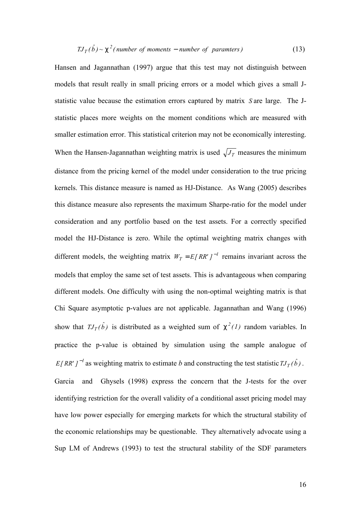$$
TJ_T(\hat{b}) \sim c^2
$$
 (number of moments – number of parameters) \t(13)

Hansen and Jagannathan (1997) argue that this test may not distinguish between models that result really in small pricing errors or a model which gives a small Jstatistic value because the estimation errors captured by matrix *S* are large. The Jstatistic places more weights on the moment conditions which are measured with smaller estimation error. This statistical criterion may not be economically interesting. When the Hansen-Jagannathan weighting matrix is used  $\sqrt{J_T}$  measures the minimum distance from the pricing kernel of the model under consideration to the true pricing kernels. This distance measure is named as HJ-Distance. As Wang (2005) describes this distance measure also represents the maximum Sharpe-ratio for the model under consideration and any portfolio based on the test assets. For a correctly specified model the HJ-Distance is zero. While the optimal weighting matrix changes with different models, the weighting matrix  $W_T = E[RR^r]^{-1}$  remains invariant across the models that employ the same set of test assets. This is advantageous when comparing different models. One difficulty with using the non-optimal weighting matrix is that Chi Square asymptotic p-values are not applicable. Jagannathan and Wang (1996) show that  $TJ_T(\hat{b})$  is distributed as a weighted sum of  $c^2(I)$  random variables. In practice the p-value is obtained by simulation using the sample analogue of *E[RR'*  $J^{-1}$  as weighting matrix to estimate *b* and constructing the test statistic  $TJ_T(\hat{b})$ . Garcia and Ghysels (1998) express the concern that the J-tests for the over identifying restriction for the overall validity of a conditional asset pricing model may have low power especially for emerging markets for which the structural stability of the economic relationships may be questionable. They alternatively advocate using a Sup LM of Andrews (1993) to test the structural stability of the SDF parameters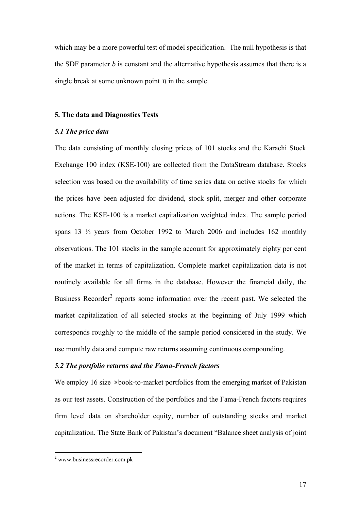which may be a more powerful test of model specification. The null hypothesis is that the SDF parameter *b* is constant and the alternative hypothesis assumes that there is a single break at some unknown point *p* in the sample.

## **5. The data and Diagnostics Tests**

# *5.1 The price data*

The data consisting of monthly closing prices of 101 stocks and the Karachi Stock Exchange 100 index (KSE-100) are collected from the DataStream database. Stocks selection was based on the availability of time series data on active stocks for which the prices have been adjusted for dividend, stock split, merger and other corporate actions. The KSE-100 is a market capitalization weighted index. The sample period spans 13 ½ years from October 1992 to March 2006 and includes 162 monthly observations. The 101 stocks in the sample account for approximately eighty per cent of the market in terms of capitalization. Complete market capitalization data is not routinely available for all firms in the database. However the financial daily, the Business Recorder<sup>2</sup> reports some information over the recent past. We selected the market capitalization of all selected stocks at the beginning of July 1999 which corresponds roughly to the middle of the sample period considered in the study. We use monthly data and compute raw returns assuming continuous compounding.

# *5.2 The portfolio returns and the Fama-French factors*

We employ 16 size  $\times$  book-to-market portfolios from the emerging market of Pakistan as our test assets. Construction of the portfolios and the Fama-French factors requires firm level data on shareholder equity, number of outstanding stocks and market capitalization. The State Bank of Pakistan's document "Balance sheet analysis of joint

<sup>&</sup>lt;sup>2</sup> www.businessrecorder.com.pk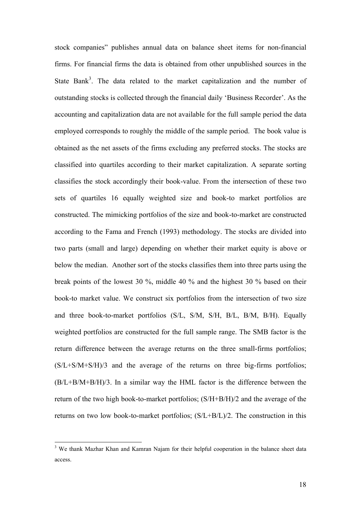stock companies" publishes annual data on balance sheet items for non-financial firms. For financial firms the data is obtained from other unpublished sources in the State Bank<sup>3</sup>. The data related to the market capitalization and the number of outstanding stocks is collected through the financial daily 'Business Recorder'. As the accounting and capitalization data are not available for the full sample period the data employed corresponds to roughly the middle of the sample period. The book value is obtained as the net assets of the firms excluding any preferred stocks. The stocks are classified into quartiles according to their market capitalization. A separate sorting classifies the stock accordingly their book-value. From the intersection of these two sets of quartiles 16 equally weighted size and book-to market portfolios are constructed. The mimicking portfolios of the size and book-to-market are constructed according to the Fama and French (1993) methodology. The stocks are divided into two parts (small and large) depending on whether their market equity is above or below the median. Another sort of the stocks classifies them into three parts using the break points of the lowest 30 %, middle 40 % and the highest 30 % based on their book-to market value. We construct six portfolios from the intersection of two size and three book-to-market portfolios (S/L, S/M, S/H, B/L, B/M, B/H). Equally weighted portfolios are constructed for the full sample range. The SMB factor is the return difference between the average returns on the three small-firms portfolios; (S/L+S/M+S/H)/3 and the average of the returns on three big-firms portfolios; (B/L+B/M+B/H)/3. In a similar way the HML factor is the difference between the return of the two high book-to-market portfolios; (S/H+B/H)/2 and the average of the returns on two low book-to-market portfolios; (S/L+B/L)/2. The construction in this

 $\overline{a}$ 

<sup>&</sup>lt;sup>3</sup> We thank Mazhar Khan and Kamran Najam for their helpful cooperation in the balance sheet data access.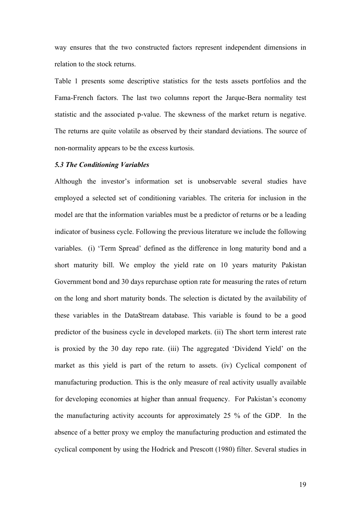way ensures that the two constructed factors represent independent dimensions in relation to the stock returns.

Table 1 presents some descriptive statistics for the tests assets portfolios and the Fama-French factors. The last two columns report the Jarque-Bera normality test statistic and the associated p-value. The skewness of the market return is negative. The returns are quite volatile as observed by their standard deviations. The source of non-normality appears to be the excess kurtosis.

### *5.3 The Conditioning Variables*

Although the investor's information set is unobservable several studies have employed a selected set of conditioning variables. The criteria for inclusion in the model are that the information variables must be a predictor of returns or be a leading indicator of business cycle. Following the previous literature we include the following variables. (i) 'Term Spread' defined as the difference in long maturity bond and a short maturity bill. We employ the yield rate on 10 years maturity Pakistan Government bond and 30 days repurchase option rate for measuring the rates of return on the long and short maturity bonds. The selection is dictated by the availability of these variables in the DataStream database. This variable is found to be a good predictor of the business cycle in developed markets. (ii) The short term interest rate is proxied by the 30 day repo rate. (iii) The aggregated 'Dividend Yield' on the market as this yield is part of the return to assets. (iv) Cyclical component of manufacturing production. This is the only measure of real activity usually available for developing economies at higher than annual frequency. For Pakistan's economy the manufacturing activity accounts for approximately 25 % of the GDP. In the absence of a better proxy we employ the manufacturing production and estimated the cyclical component by using the Hodrick and Prescott (1980) filter. Several studies in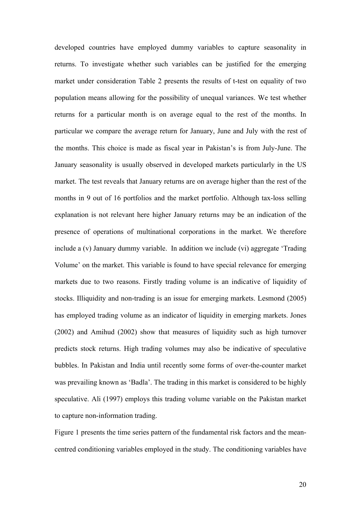developed countries have employed dummy variables to capture seasonality in returns. To investigate whether such variables can be justified for the emerging market under consideration Table 2 presents the results of t-test on equality of two population means allowing for the possibility of unequal variances. We test whether returns for a particular month is on average equal to the rest of the months. In particular we compare the average return for January, June and July with the rest of the months. This choice is made as fiscal year in Pakistan's is from July-June. The January seasonality is usually observed in developed markets particularly in the US market. The test reveals that January returns are on average higher than the rest of the months in 9 out of 16 portfolios and the market portfolio. Although tax-loss selling explanation is not relevant here higher January returns may be an indication of the presence of operations of multinational corporations in the market. We therefore include a (v) January dummy variable. In addition we include (vi) aggregate 'Trading Volume' on the market. This variable is found to have special relevance for emerging markets due to two reasons. Firstly trading volume is an indicative of liquidity of stocks. Illiquidity and non-trading is an issue for emerging markets. Lesmond (2005) has employed trading volume as an indicator of liquidity in emerging markets. Jones (2002) and Amihud (2002) show that measures of liquidity such as high turnover predicts stock returns. High trading volumes may also be indicative of speculative bubbles. In Pakistan and India until recently some forms of over-the-counter market was prevailing known as 'Badla'. The trading in this market is considered to be highly speculative. Ali (1997) employs this trading volume variable on the Pakistan market to capture non-information trading.

Figure 1 presents the time series pattern of the fundamental risk factors and the meancentred conditioning variables employed in the study. The conditioning variables have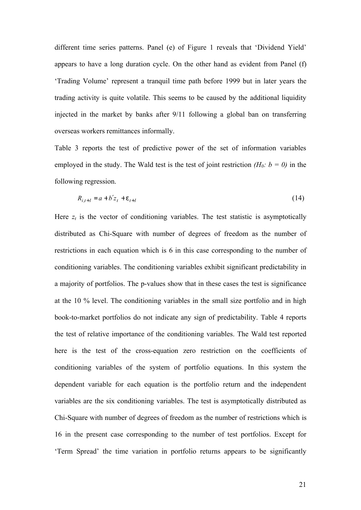different time series patterns. Panel (e) of Figure 1 reveals that 'Dividend Yield' appears to have a long duration cycle. On the other hand as evident from Panel (f) 'Trading Volume' represent a tranquil time path before 1999 but in later years the trading activity is quite volatile. This seems to be caused by the additional liquidity injected in the market by banks after 9/11 following a global ban on transferring overseas workers remittances informally.

Table 3 reports the test of predictive power of the set of information variables employed in the study. The Wald test is the test of joint restriction  $(H_0: b = 0)$  in the following regression.

$$
R_{i,t+1} = a + b'z_t + e_{t+1}
$$
\n(14)

Here  $z_t$  is the vector of conditioning variables. The test statistic is asymptotically distributed as Chi-Square with number of degrees of freedom as the number of restrictions in each equation which is 6 in this case corresponding to the number of conditioning variables. The conditioning variables exhibit significant predictability in a majority of portfolios. The p-values show that in these cases the test is significance at the 10 % level. The conditioning variables in the small size portfolio and in high book-to-market portfolios do not indicate any sign of predictability. Table 4 reports the test of relative importance of the conditioning variables. The Wald test reported here is the test of the cross-equation zero restriction on the coefficients of conditioning variables of the system of portfolio equations. In this system the dependent variable for each equation is the portfolio return and the independent variables are the six conditioning variables. The test is asymptotically distributed as Chi-Square with number of degrees of freedom as the number of restrictions which is 16 in the present case corresponding to the number of test portfolios. Except for 'Term Spread' the time variation in portfolio returns appears to be significantly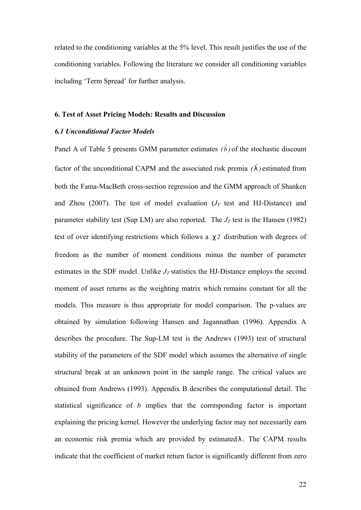related to the conditioning variables at the 5% level. This result justifies the use of the conditioning variables. Following the literature we consider all conditioning variables including 'Term Spread' for further analysis.

### **6. Test of Asset Pricing Models: Results and Discussion**

# *6.1 Unconditional Factor Models*

Panel A of Table 5 presents GMM parameter estimates  $(\hat{b})$  of the stochastic discount factor of the unconditional CAPM and the associated risk premia  $(\hat{\mathbf{l}})$  estimated from both the Fama-MacBeth cross-section regression and the GMM approach of Shanken and Zhou (2007). The test of model evaluation ( $J_T$  test and HJ-Distance) and parameter stability test (Sup LM) are also reported. The  $J_T$  test is the Hansen (1982) test of over identifying restrictions which follows a *c2* distribution with degrees of freedom as the number of moment conditions minus the number of parameter estimates in the SDF model. Unlike  $J_T$  statistics the HJ-Distance employs the second moment of asset returns as the weighting matrix which remains constant for all the models. This measure is thus appropriate for model comparison. The p-values are obtained by simulation following Hansen and Jagannathan (1996). Appendix A describes the procedure. The Sup-LM test is the Andrews (1993) test of structural stability of the parameters of the SDF model which assumes the alternative of single structural break at an unknown point in the sample range. The critical values are obtained from Andrews (1993). Appendix B describes the computational detail. The statistical significance of *b* implies that the corresponding factor is important explaining the pricing kernel. However the underlying factor may not necessarily earn an economic risk premia which are provided by estimated *l* . The CAPM results indicate that the coefficient of market return factor is significantly different from zero

22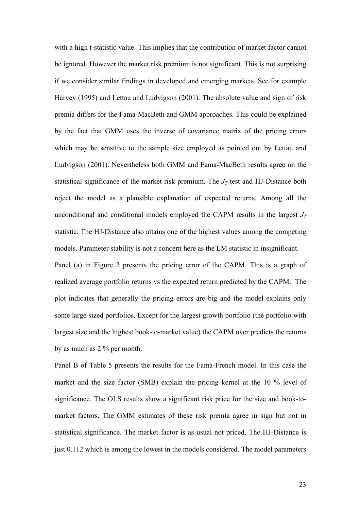with a high t-statistic value. This implies that the contribution of market factor cannot be ignored. However the market risk premium is not significant. This is not surprising if we consider similar findings in developed and emerging markets. See for example Harvey (1995) and Lettau and Ludvigson (2001). The absolute value and sign of risk premia differs for the Fama-MacBeth and GMM approaches. This could be explained by the fact that GMM uses the inverse of covariance matrix of the pricing errors which may be sensitive to the sample size employed as pointed out by Lettau and Ludvigson (2001). Nevertheless both GMM and Fama-MacBeth results agree on the statistical significance of the market risk premium. The  $J_T$  test and HJ-Distance both reject the model as a plausible explanation of expected returns. Among all the unconditional and conditional models employed the CAPM results in the largest  $J_T$ statistic. The HJ-Distance also attains one of the highest values among the competing models. Parameter stability is not a concern here as the LM statistic in insignificant. Panel (a) in Figure 2 presents the pricing error of the CAPM. This is a graph of

realized average portfolio returns vs the expected return predicted by the CAPM. The plot indicates that generally the pricing errors are big and the model explains only some large sized portfolios. Except for the largest growth portfolio (the portfolio with largest size and the highest book-to-market value) the CAPM over predicts the returns by as much as 2 % per month.

Panel B of Table 5 presents the results for the Fama-French model. In this case the market and the size factor (SMB) explain the pricing kernel at the 10 % level of significance. The OLS results show a significant risk price for the size and book-tomarket factors. The GMM estimates of these risk premia agree in sign but not in statistical significance. The market factor is as usual not priced. The HJ-Distance is just 0.112 which is among the lowest in the models considered. The model parameters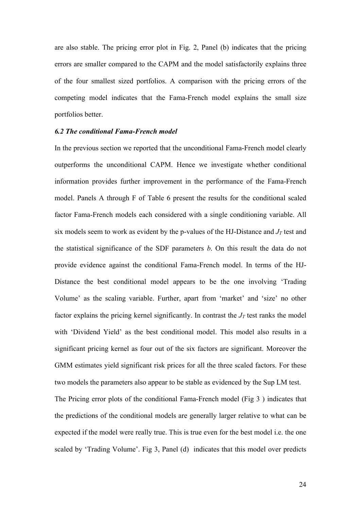are also stable. The pricing error plot in Fig. 2, Panel (b) indicates that the pricing errors are smaller compared to the CAPM and the model satisfactorily explains three of the four smallest sized portfolios. A comparison with the pricing errors of the competing model indicates that the Fama-French model explains the small size portfolios better.

### *6.2 The conditional Fama-French model*

In the previous section we reported that the unconditional Fama-French model clearly outperforms the unconditional CAPM. Hence we investigate whether conditional information provides further improvement in the performance of the Fama-French model. Panels A through F of Table 6 present the results for the conditional scaled factor Fama-French models each considered with a single conditioning variable. All six models seem to work as evident by the p-values of the HJ-Distance and  $J_T$  test and the statistical significance of the SDF parameters *b*. On this result the data do not provide evidence against the conditional Fama-French model. In terms of the HJ-Distance the best conditional model appears to be the one involving 'Trading Volume' as the scaling variable. Further, apart from 'market' and 'size' no other factor explains the pricing kernel significantly. In contrast the  $J_T$  test ranks the model with 'Dividend Yield' as the best conditional model. This model also results in a significant pricing kernel as four out of the six factors are significant. Moreover the GMM estimates yield significant risk prices for all the three scaled factors. For these two models the parameters also appear to be stable as evidenced by the Sup LM test. The Pricing error plots of the conditional Fama-French model (Fig 3 ) indicates that the predictions of the conditional models are generally larger relative to what can be expected if the model were really true. This is true even for the best model i.e. the one scaled by 'Trading Volume'. Fig 3, Panel (d) indicates that this model over predicts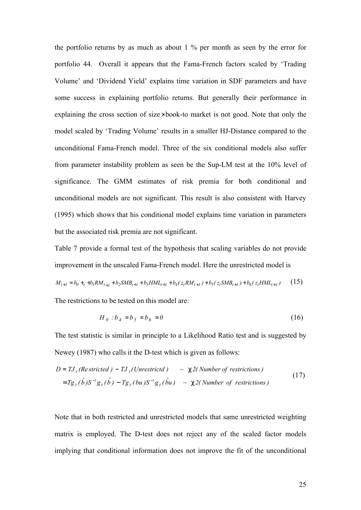the portfolio returns by as much as about 1 % per month as seen by the error for portfolio 44. Overall it appears that the Fama-French factors scaled by 'Trading Volume' and 'Dividend Yield' explains time variation in SDF parameters and have some success in explaining portfolio returns. But generally their performance in explaining the cross section of size× book-to market is not good. Note that only the model scaled by 'Trading Volume' results in a smaller HJ-Distance compared to the unconditional Fama-French model. Three of the six conditional models also suffer from parameter instability problem as seen be the Sup-LM test at the 10% level of significance. The GMM estimates of risk premia for both conditional and unconditional models are not significant. This result is also consistent with Harvey (1995) which shows that his conditional model explains time variation in parameters but the associated risk premia are not significant.

Table 7 provide a formal test of the hypothesis that scaling variables do not provide improvement in the unscaled Fama-French model. Here the unrestricted model is

$$
M_{t+1} = b_0 + t_1 b_1 R M_{t+1} + b_2 S M B_{t+1} + b_3 H M L_{t+1} + b_4 (z_t R M_{t+1}) + b_5 (z_t S M B_{t+1}) + b_6 (z_t H M L_{t+1})
$$
 (15)

The restrictions to be tested on this model are:

$$
H_0 : b_4 = b_5 = b_6 = 0 \tag{16}
$$

The test statistic is similar in principle to a Likelihood Ratio test and is suggested by Newey (1987) who calls it the D-test which is given as follows:

$$
D = TJT(Restricted) - TJT(Unrestricted) \sim C2(Number of restrictions)
$$
  
=  $TgT(\hat{b})S^{-1}gT(\hat{b}) - TgT(bu)S^{-1}gT(\hat{b}u) \sim C2(Number of restrictions)$  (17)

Note that in both restricted and unrestricted models that same unrestricted weighting matrix is employed. The D-test does not reject any of the scaled factor models implying that conditional information does not improve the fit of the unconditional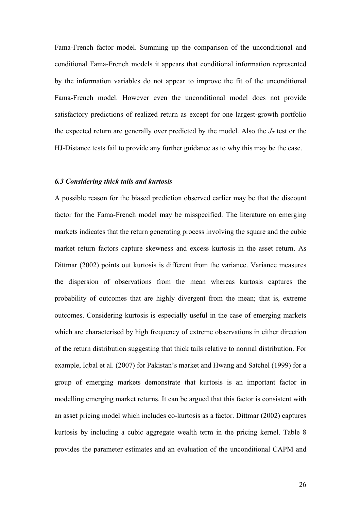Fama-French factor model. Summing up the comparison of the unconditional and conditional Fama-French models it appears that conditional information represented by the information variables do not appear to improve the fit of the unconditional Fama-French model. However even the unconditional model does not provide satisfactory predictions of realized return as except for one largest-growth portfolio the expected return are generally over predicted by the model. Also the  $J_T$  test or the HJ-Distance tests fail to provide any further guidance as to why this may be the case.

## *6.3 Considering thick tails and kurtosis*

A possible reason for the biased prediction observed earlier may be that the discount factor for the Fama-French model may be misspecified. The literature on emerging markets indicates that the return generating process involving the square and the cubic market return factors capture skewness and excess kurtosis in the asset return. As Dittmar (2002) points out kurtosis is different from the variance. Variance measures the dispersion of observations from the mean whereas kurtosis captures the probability of outcomes that are highly divergent from the mean; that is, extreme outcomes. Considering kurtosis is especially useful in the case of emerging markets which are characterised by high frequency of extreme observations in either direction of the return distribution suggesting that thick tails relative to normal distribution. For example, Iqbal et al. (2007) for Pakistan's market and Hwang and Satchel (1999) for a group of emerging markets demonstrate that kurtosis is an important factor in modelling emerging market returns. It can be argued that this factor is consistent with an asset pricing model which includes co-kurtosis as a factor. Dittmar (2002) captures kurtosis by including a cubic aggregate wealth term in the pricing kernel. Table 8 provides the parameter estimates and an evaluation of the unconditional CAPM and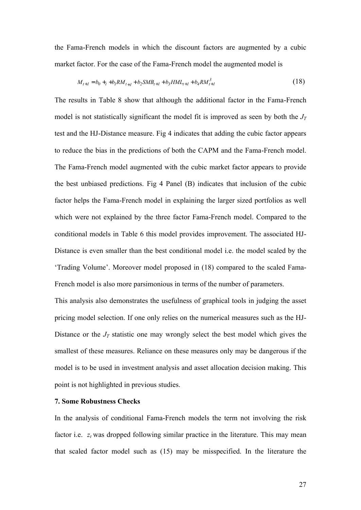the Fama-French models in which the discount factors are augmented by a cubic market factor. For the case of the Fama-French model the augmented model is

$$
M_{t+1} = b_0 +_t + b_1 RM_{t+1} + b_2 SMB_{t+1} + b_3 HML_{t+1} + b_4 RM_{t+1}^3
$$
\n
$$
(18)
$$

The results in Table 8 show that although the additional factor in the Fama-French model is not statistically significant the model fit is improved as seen by both the  $J_T$ test and the HJ-Distance measure. Fig 4 indicates that adding the cubic factor appears to reduce the bias in the predictions of both the CAPM and the Fama-French model. The Fama-French model augmented with the cubic market factor appears to provide the best unbiased predictions. Fig 4 Panel (B) indicates that inclusion of the cubic factor helps the Fama-French model in explaining the larger sized portfolios as well which were not explained by the three factor Fama-French model. Compared to the conditional models in Table 6 this model provides improvement. The associated HJ-Distance is even smaller than the best conditional model i.e. the model scaled by the 'Trading Volume'. Moreover model proposed in (18) compared to the scaled Fama-French model is also more parsimonious in terms of the number of parameters.

This analysis also demonstrates the usefulness of graphical tools in judging the asset pricing model selection. If one only relies on the numerical measures such as the HJ-Distance or the  $J_T$  statistic one may wrongly select the best model which gives the smallest of these measures. Reliance on these measures only may be dangerous if the model is to be used in investment analysis and asset allocation decision making. This point is not highlighted in previous studies.

### **7. Some Robustness Checks**

In the analysis of conditional Fama-French models the term not involving the risk factor i.e.  $z_t$  was dropped following similar practice in the literature. This may mean that scaled factor model such as (15) may be misspecified. In the literature the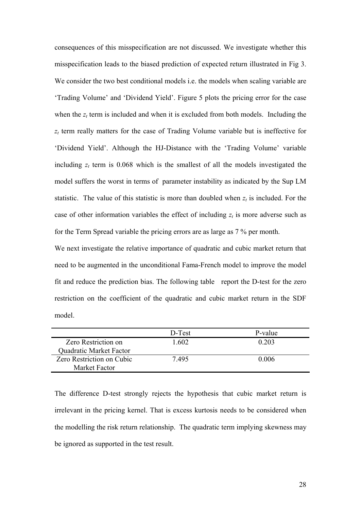consequences of this misspecification are not discussed. We investigate whether this misspecification leads to the biased prediction of expected return illustrated in Fig 3. We consider the two best conditional models i.e. the models when scaling variable are 'Trading Volume' and 'Dividend Yield'. Figure 5 plots the pricing error for the case when the  $z_t$  term is included and when it is excluded from both models. Including the *z<sup>t</sup>* term really matters for the case of Trading Volume variable but is ineffective for 'Dividend Yield'. Although the HJ-Distance with the 'Trading Volume' variable including  $z_t$  term is 0.068 which is the smallest of all the models investigated the model suffers the worst in terms of parameter instability as indicated by the Sup LM statistic. The value of this statistic is more than doubled when  $z_t$  is included. For the case of other information variables the effect of including  $z_t$  is more adverse such as for the Term Spread variable the pricing errors are as large as 7 % per month.

We next investigate the relative importance of quadratic and cubic market return that need to be augmented in the unconditional Fama-French model to improve the model fit and reduce the prediction bias. The following table report the D-test for the zero restriction on the coefficient of the quadratic and cubic market return in the SDF model.

|                           | D-Test | P-value |
|---------------------------|--------|---------|
| Zero Restriction on       | 1 602  | 0.203   |
| Quadratic Market Factor   |        |         |
| Zero Restriction on Cubic | 7 495  | 0.006   |
| <b>Market Factor</b>      |        |         |

The difference D-test strongly rejects the hypothesis that cubic market return is irrelevant in the pricing kernel. That is excess kurtosis needs to be considered when the modelling the risk return relationship. The quadratic term implying skewness may be ignored as supported in the test result.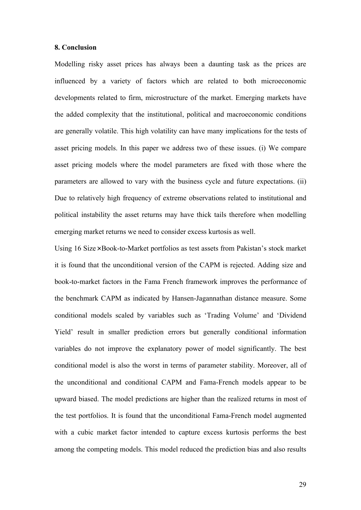#### **8. Conclusion**

Modelling risky asset prices has always been a daunting task as the prices are influenced by a variety of factors which are related to both microeconomic developments related to firm, microstructure of the market. Emerging markets have the added complexity that the institutional, political and macroeconomic conditions are generally volatile. This high volatility can have many implications for the tests of asset pricing models. In this paper we address two of these issues. (i) We compare asset pricing models where the model parameters are fixed with those where the parameters are allowed to vary with the business cycle and future expectations. (ii) Due to relatively high frequency of extreme observations related to institutional and political instability the asset returns may have thick tails therefore when modelling emerging market returns we need to consider excess kurtosis as well.

Using 16 Size×Book-to-Market portfolios as test assets from Pakistan's stock market it is found that the unconditional version of the CAPM is rejected. Adding size and book-to-market factors in the Fama French framework improves the performance of the benchmark CAPM as indicated by Hansen-Jagannathan distance measure. Some conditional models scaled by variables such as 'Trading Volume' and 'Dividend Yield' result in smaller prediction errors but generally conditional information variables do not improve the explanatory power of model significantly. The best conditional model is also the worst in terms of parameter stability. Moreover, all of the unconditional and conditional CAPM and Fama-French models appear to be upward biased. The model predictions are higher than the realized returns in most of the test portfolios. It is found that the unconditional Fama-French model augmented with a cubic market factor intended to capture excess kurtosis performs the best among the competing models. This model reduced the prediction bias and also results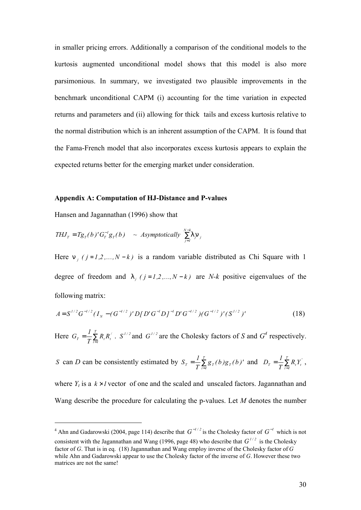in smaller pricing errors. Additionally a comparison of the conditional models to the kurtosis augmented unconditional model shows that this model is also more parsimonious. In summary, we investigated two plausible improvements in the benchmark unconditional CAPM (i) accounting for the time variation in expected returns and parameters and (ii) allowing for thick tails and excess kurtosis relative to the normal distribution which is an inherent assumption of the CAPM. It is found that the Fama-French model that also incorporates excess kurtosis appears to explain the expected returns better for the emerging market under consideration.

#### **Appendix A: Computation of HJ-Distance and P-values**

Hansen and Jagannathan (1996) show that

 $\overline{a}$ 

$$
THJ_T = Tg_T(b)'G_T^{-1}g_T(b) \sim \text{Asymptotically } \sum_{j=1}^{N-k} \text{I } p_j
$$

Here  $n_i$  ( $j = 1,2,...,N-k$ ) is a random variable distributed as Chi Square with 1 degree of freedom and  $\int$   $(j = 1, 2, ..., N - k)$  are *N-k* positive eigenvalues of the following matrix:

$$
A = S^{1/2} G^{-1/2} (I_N - (G^{-1/2})' D[D' G^{-1} D]^{-1} D' G^{-1/2}) (G^{-1/2})' (S^{1/2})'
$$
(18)

Here  $G_T = \frac{1}{T} \sum_{t=1}^{T}$ *t 1*  $T_{T} = \frac{I}{T} \sum_{t=1}^{t} R_{t} R_{t}^{2}$  $G_r = \frac{1}{\pi} \sum_{i=1}^{r} R_i R_i'$ .  $S^{1/2}$  and  $G^{1/2}$  are the Cholesky factors of *S* and  $G^4$  respectively.

*S* can *D* can be consistently estimated by  $S_T = \frac{1}{T} \sum_{t=1}^{T}$  $T_{T} = \frac{1}{T} \sum_{t=1}^{T} g_{T}(b) g_{T}(b)'$ *T*  $S_T = \frac{1}{T} \sum_{t=1}^T g_T(b) g_T(b)$  and  $D_T = \frac{1}{T} \sum_{t=1}^T g_T(b)$  $t = I$  $T = \frac{1}{T} \sum_{t=1}^{T} R_t Y_t^{\prime}$  $D_r = \frac{I}{T} \sum_{i=1}^{T} R_i Y_i^{\prime}$ ,

where  $Y_t$  is a  $k \times l$  vector of one and the scaled and unscaled factors. Jagannathan and Wang describe the procedure for calculating the p-values. Let *M* denotes the number

<sup>&</sup>lt;sup>4</sup> Ahn and Gadarowski (2004, page 114) describe that  $G^{-1/2}$  is the Cholesky factor of  $G^{-1}$  which is not consistent with the Jagannathan and Wang (1996, page 48) who describe that  $G^{1/2}$  is the Cholesky factor of *G*. That is in eq. (18) Jagannathan and Wang employ inverse of the Cholesky factor of *G* while Ahn and Gadarowski appear to use the Cholesky factor of the inverse of *G*. However these two matrices are not the same!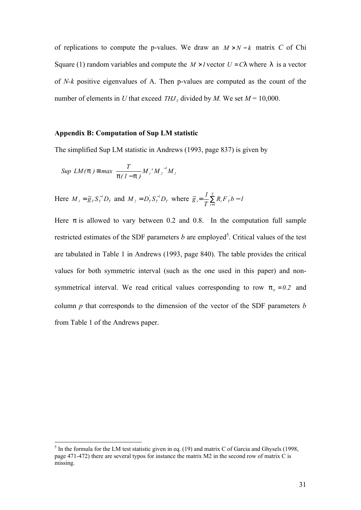of replications to compute the p-values. We draw an  $M \times N - k$  matrix *C* of Chi Square (1) random variables and compute the  $M \times I$  vector  $U = C I$  where *l* is a vector of *N-k* positive eigenvalues of A. Then p-values are computed as the count of the number of elements in *U* that exceed  $THJ<sub>T</sub>$  divided by *M*. We set  $M = 10,000$ .

### **Appendix B: Computation of Sup LM statistic**

The simplified Sup LM statistic in Andrews (1993, page 837) is given by

$$
Sup \ LM(\mathsf{p}) \cong max \ \frac{T}{\mathsf{p}(I-\mathsf{p})} M_I' M_2^{-I} M_I
$$

 $\overline{a}$ 

Here  $M_{I} = \overline{g}_{T} S_{T}^{-1} D_{T}$  and  $M_{2} = D_{T}^{'} S_{T}^{-1} D_{T}$  $M_2 = D_T^{\prime} S_T^{-1} D_T$  where  $\bar{g}_i = \frac{I}{T} \sum R_i F_T^{\prime} b - I$ *T*  $\overline{g}$ <sub>*i*</sub> =  $\frac{1}{\sqrt{2}}$ *t 1*  $t = \frac{1}{T} \sum_{t=1}^{T} R_t F_T b -$ 

Here *p* is allowed to vary between 0.2 and 0.8. In the computation full sample restricted estimates of the SDF parameters  $b$  are employed<sup>5</sup>. Critical values of the test are tabulated in Table 1 in Andrews (1993, page 840). The table provides the critical values for both symmetric interval (such as the one used in this paper) and nonsymmetrical interval. We read critical values corresponding to row  $p_0 = 0.2$  and column *p* that corresponds to the dimension of the vector of the SDF parameters *b* from Table 1 of the Andrews paper.

 $<sup>5</sup>$  In the formula for the LM test statistic given in eq. (19) and matrix C of Garcia and Ghysels (1998,</sup> page 471-472) there are several typos for instance the matrix M2 in the second row of matrix C is missing.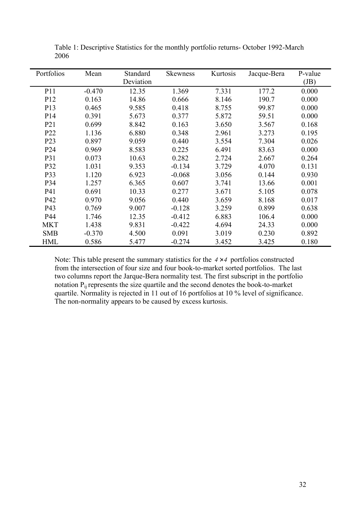| Portfolios       | Mean     | Standard  | <b>Skewness</b> | Kurtosis | Jacque-Bera | P-value |
|------------------|----------|-----------|-----------------|----------|-------------|---------|
|                  |          | Deviation |                 |          |             | (JB)    |
| P11              | $-0.470$ | 12.35     | 1.369           | 7.331    | 177.2       | 0.000   |
| P <sub>12</sub>  | 0.163    | 14.86     | 0.666           | 8.146    | 190.7       | 0.000   |
| P <sub>13</sub>  | 0.465    | 9.585     | 0.418           | 8.755    | 99.87       | 0.000   |
| P <sub>14</sub>  | 0.391    | 5.673     | 0.377           | 5.872    | 59.51       | 0.000   |
| P <sub>21</sub>  | 0.699    | 8.842     | 0.163           | 3.650    | 3.567       | 0.168   |
| P <sub>22</sub>  | 1.136    | 6.880     | 0.348           | 2.961    | 3.273       | 0.195   |
| P <sub>2</sub> 3 | 0.897    | 9.059     | 0.440           | 3.554    | 7.304       | 0.026   |
| P <sub>24</sub>  | 0.969    | 8.583     | 0.225           | 6.491    | 83.63       | 0.000   |
| P31              | 0.073    | 10.63     | 0.282           | 2.724    | 2.667       | 0.264   |
| P32              | 1.031    | 9.353     | $-0.134$        | 3.729    | 4.070       | 0.131   |
| P33              | 1.120    | 6.923     | $-0.068$        | 3.056    | 0.144       | 0.930   |
| P34              | 1.257    | 6.365     | 0.607           | 3.741    | 13.66       | 0.001   |
| P41              | 0.691    | 10.33     | 0.277           | 3.671    | 5.105       | 0.078   |
| P42              | 0.970    | 9.056     | 0.440           | 3.659    | 8.168       | 0.017   |
| P43              | 0.769    | 9.007     | $-0.128$        | 3.259    | 0.899       | 0.638   |
| P44              | 1.746    | 12.35     | $-0.412$        | 6.883    | 106.4       | 0.000   |
| <b>MKT</b>       | 1.438    | 9.831     | $-0.422$        | 4.694    | 24.33       | 0.000   |
| <b>SMB</b>       | $-0.370$ | 4.500     | 0.091           | 3.019    | 0.230       | 0.892   |
| <b>HML</b>       | 0.586    | 5.477     | $-0.274$        | 3.452    | 3.425       | 0.180   |

Table 1: Descriptive Statistics for the monthly portfolio returns- October 1992-March 2006

Note: This table present the summary statistics for the *4* × *4* portfolios constructed from the intersection of four size and four book-to-market sorted portfolios. The last two columns report the Jarque-Bera normality test. The first subscript in the portfolio notation P<sub>ij</sub> represents the size quartile and the second denotes the book-to-market quartile. Normality is rejected in 11 out of 16 portfolios at 10 % level of significance. The non-normality appears to be caused by excess kurtosis.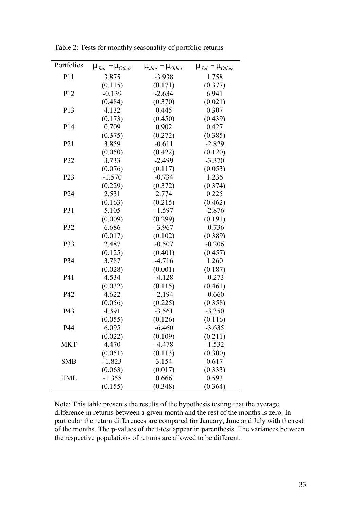| Portfolios      | $m_{Jan} - m_{Other}$ | $m_{Jun} - m_{Other}$ | $m_{\textit{Jul}} - m_{\textit{Other}}$ |
|-----------------|-----------------------|-----------------------|-----------------------------------------|
| P11             | 3.875                 | $-3.938$              | 1.758                                   |
|                 | (0.115)               | (0.171)               | (0.377)                                 |
| P12             | $-0.139$              | $-2.634$              | 6.941                                   |
|                 | (0.484)               | (0.370)               | (0.021)                                 |
| P <sub>13</sub> | 4.132                 | 0.445                 | 0.307                                   |
|                 | (0.173)               | (0.450)               | (0.439)                                 |
| P <sub>14</sub> | 0.709                 | 0.902                 | 0.427                                   |
|                 | (0.375)               | (0.272)               | (0.385)                                 |
| P <sub>21</sub> | 3.859                 | $-0.611$              | $-2.829$                                |
|                 | (0.050)               | (0.422)               | (0.120)                                 |
| P <sub>22</sub> | 3.733                 | $-2.499$              | $-3.370$                                |
|                 | (0.076)               | (0.117)               | (0.053)                                 |
| P <sub>23</sub> | $-1.570$              | $-0.734$              | 1.236                                   |
|                 | (0.229)               | (0.372)               | (0.374)                                 |
| P <sub>24</sub> | 2.531                 | 2.774                 | 0.225                                   |
|                 | (0.163)               | (0.215)               | (0.462)                                 |
| P31             | 5.105                 | $-1.597$              | $-2.876$                                |
|                 | (0.009)               | (0.299)               | (0.191)                                 |
| P32             | 6.686                 | $-3.967$              | $-0.736$                                |
|                 | (0.017)               | (0.102)               | (0.389)                                 |
| P33             | 2.487                 | $-0.507$              | $-0.206$                                |
|                 | (0.125)               | (0.401)               | (0.457)                                 |
| P34             | 3.787                 | $-4.716$              | 1.260                                   |
|                 | (0.028)               | (0.001)               | (0.187)                                 |
| P41             | 4.534                 | $-4.128$              | $-0.273$                                |
|                 | (0.032)               | (0.115)               | (0.461)                                 |
| P42             | 4.622                 | $-2.194$              | $-0.660$                                |
|                 | (0.056)               | (0.225)               | (0.358)                                 |
| P43             | 4.391                 | $-3.561$              | $-3.350$                                |
|                 | (0.055)               | (0.126)               | (0.116)                                 |
| P44             | 6.095                 | $-6.460$              | $-3.635$                                |
|                 | (0.022)               | (0.109)               | (0.211)                                 |
| <b>MKT</b>      | 4.470                 | $-4.478$              | $-1.532$                                |
|                 | (0.051)               | (0.113)               | (0.300)                                 |
| <b>SMB</b>      | $-1.823$              | 3.154                 | 0.617                                   |
|                 | (0.063)               | (0.017)               | (0.333)                                 |
| <b>HML</b>      | $-1.358$              | 0.666                 | 0.593                                   |
|                 | (0.155)               | (0.348)               | (0.364)                                 |

Table 2: Tests for monthly seasonality of portfolio returns

Note: This table presents the results of the hypothesis testing that the average difference in returns between a given month and the rest of the months is zero. In particular the return differences are compared for January, June and July with the rest of the months. The p-values of the t-test appear in parenthesis. The variances between the respective populations of returns are allowed to be different.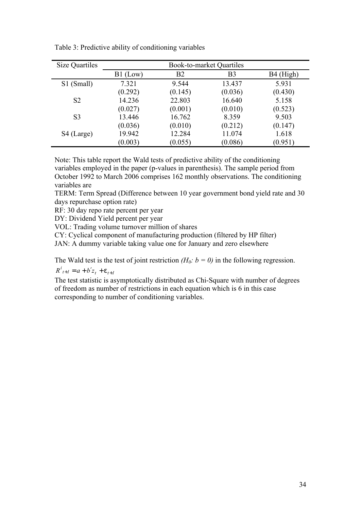| Size Quartiles | <b>Book-to-market Quartiles</b> |                |                |                       |  |  |  |
|----------------|---------------------------------|----------------|----------------|-----------------------|--|--|--|
|                | $B1$ (Low)                      | B <sub>2</sub> | B <sub>3</sub> | B <sub>4</sub> (High) |  |  |  |
| S1 (Small)     | 7.321                           | 9.544          | 13.437         | 5.931                 |  |  |  |
|                | (0.292)                         | (0.145)        | (0.036)        | (0.430)               |  |  |  |
| S <sub>2</sub> | 14.236                          | 22.803         | 16.640         | 5.158                 |  |  |  |
|                | (0.027)                         | (0.001)        | (0.010)        | (0.523)               |  |  |  |
| S <sub>3</sub> | 13.446                          | 16.762         | 8.359          | 9.503                 |  |  |  |
|                | (0.036)                         | (0.010)        | (0.212)        | (0.147)               |  |  |  |
| S4 (Large)     | 19.942                          | 12.284         | 11.074         | 1.618                 |  |  |  |
|                | (0.003)                         | (0.055)        | (0.086)        | (0.951)               |  |  |  |

Table 3: Predictive ability of conditioning variables

Note: This table report the Wald tests of predictive ability of the conditioning variables employed in the paper (p-values in parenthesis). The sample period from October 1992 to March 2006 comprises 162 monthly observations. The conditioning variables are

TERM: Term Spread (Difference between 10 year government bond yield rate and 30 days repurchase option rate)

RF: 30 day repo rate percent per year

DY: Dividend Yield percent per year

VOL: Trading volume turnover million of shares

CY: Cyclical component of manufacturing production (filtered by HP filter)

JAN: A dummy variable taking value one for January and zero elsewhere

The Wald test is the test of joint restriction *(H<sub>0</sub>*:  $b = 0$ ) in the following regression.

 $R^{i}_{t+1} = a + b'z_{t} + e_{t+1}$ 

The test statistic is asymptotically distributed as Chi-Square with number of degrees of freedom as number of restrictions in each equation which is 6 in this case corresponding to number of conditioning variables.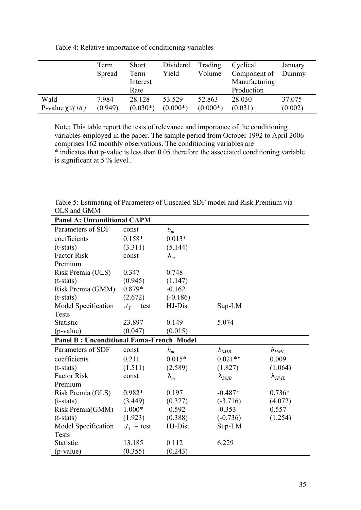|                  | Term<br>Spread | <b>Short</b><br>Term<br>Interest<br>Rate | Dividend<br>Yield | Trading<br>Volume | Cyclical<br>Component of<br>Manufacturing<br>Production | January<br>Dummy |
|------------------|----------------|------------------------------------------|-------------------|-------------------|---------------------------------------------------------|------------------|
| Wald             | 7.984          | 28.128                                   | 53.529            | 52.863            | 28.030                                                  | 37.075           |
| P-value $c2(16)$ | (0.949)        | $(0.030*)$                               | $(0.000*)$        | $(0.000*)$        | (0.031)                                                 | (0.002)          |

Table 4: Relative importance of conditioning variables

Note: This table report the tests of relevance and importance of the conditioning variables employed in the paper. The sample period from October 1992 to April 2006 comprises 162 monthly observations. The conditioning variables are \* indicates that p-value is less than 0.05 therefore the associated conditioning variable is significant at 5 % level..

| OLD AND ONLY                                    |              |                |             |                    |
|-------------------------------------------------|--------------|----------------|-------------|--------------------|
| <b>Panel A: Unconditional CAPM</b>              |              |                |             |                    |
| Parameters of SDF                               | const        | $b_m$          |             |                    |
| coefficients                                    | $0.158*$     | $0.013*$       |             |                    |
| $(t-stats)$                                     | (3.311)      | (5.144)        |             |                    |
| <b>Factor Risk</b>                              | const        | $\mathsf{I}_m$ |             |                    |
| Premium                                         |              |                |             |                    |
| Risk Premia (OLS)                               | 0.347        | 0.748          |             |                    |
| $(t-stats)$                                     | (0.945)      | (1.147)        |             |                    |
| Risk Premia (GMM)                               | 0.879*       | $-0.162$       |             |                    |
| $(t-stats)$                                     | (2.672)      | $(-0.186)$     |             |                    |
| Model Specification                             | $J_T$ – test | HJ-Dist        | $Sup-LM$    |                    |
| <b>Tests</b>                                    |              |                |             |                    |
| <b>Statistic</b>                                | 23.897       | 0.149          | 5.074       |                    |
| (p-value)                                       | (0.047)      | (0.015)        |             |                    |
| <b>Panel B: Unconditional Fama-French Model</b> |              |                |             |                    |
| Parameters of SDF                               | const        | $b_m$          | $b_{SMB}$   | $b_{HML}$          |
| coefficients                                    | 0.211        | $0.015*$       | $0.021**$   | 0.009              |
| $(t-stats)$                                     | (1.511)      | (2.589)        | (1.827)     | (1.064)            |
| <b>Factor Risk</b>                              | const        | $\mathsf{I}_m$ | $\vert$ SMB | $\mathsf{I}_{HML}$ |
| Premium                                         |              |                |             |                    |
| Risk Premia (OLS)                               | $0.982*$     | 0.197          | $-0.487*$   | $0.736*$           |
| $(t-stats)$                                     | (3.449)      | (0.377)        | $(-3.716)$  | (4.072)            |
| Risk Premia(GMM)                                | $1.000*$     | $-0.592$       | $-0.353$    | 0.557              |
| $(t-stats)$                                     | (1.923)      | (0.388)        | $(-0.736)$  | (1.254)            |
| Model Specification                             | $J_T$ – test | HJ-Dist        | Sup-LM      |                    |
| <b>Tests</b>                                    |              |                |             |                    |
| Statistic                                       | 13.185       | 0.112          | 6.229       |                    |
|                                                 | (0.355)      | (0.243)        |             |                    |

Table 5: Estimating of Parameters of Unscaled SDF model and Risk Premium via OLS and GMM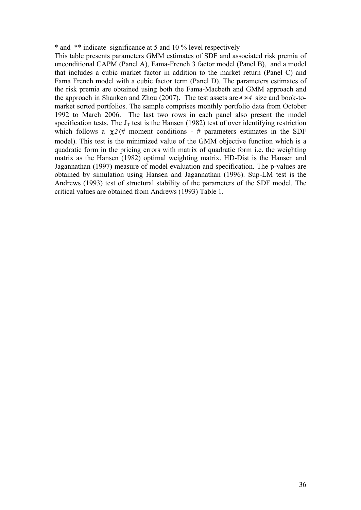\* and \*\* indicate significance at 5 and 10 % level respectively

This table presents parameters GMM estimates of SDF and associated risk premia of unconditional CAPM (Panel A), Fama-French 3 factor model (Panel B), and a model that includes a cubic market factor in addition to the market return (Panel C) and Fama French model with a cubic factor term (Panel D). The parameters estimates of the risk premia are obtained using both the Fama-Macbeth and GMM approach and the approach in Shanken and Zhou (2007). The test assets are  $4 \times 4$  size and book-tomarket sorted portfolios. The sample comprises monthly portfolio data from October 1992 to March 2006. The last two rows in each panel also present the model specification tests. The  $J_T$  test is the Hansen (1982) test of over identifying restriction which follows a  $c2$  (# moment conditions - # parameters estimates in the SDF model). This test is the minimized value of the GMM objective function which is a quadratic form in the pricing errors with matrix of quadratic form i.e. the weighting matrix as the Hansen (1982) optimal weighting matrix. HD-Dist is the Hansen and Jagannathan (1997) measure of model evaluation and specification. The p-values are obtained by simulation using Hansen and Jagannathan (1996). Sup-LM test is the Andrews (1993) test of structural stability of the parameters of the SDF model. The critical values are obtained from Andrews (1993) Table 1.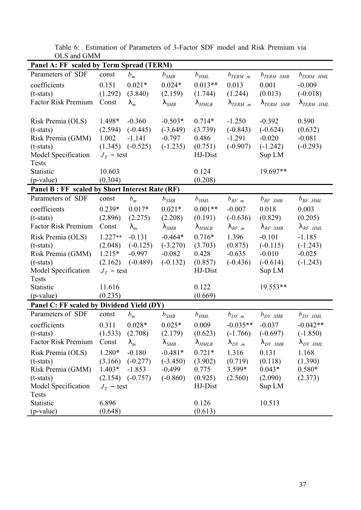| Panel A: FF scaled by Term Spread (TERM)       |              |                      |                    |                     |                                          |                      |                      |
|------------------------------------------------|--------------|----------------------|--------------------|---------------------|------------------------------------------|----------------------|----------------------|
| Parameters of SDF                              | const        | $b_m$                | $b_{SMB}$          | $b_{HML}$           | $b_{TERM \, .m}$                         | $b_{TERM \, \, SMB}$ | $b_{TERM \ HML}$     |
| coefficients                                   | 0.151        | $0.021*$             | $0.024*$           | $0.013**$           | 0.013                                    | 0.001                | $-0.009$             |
| $(t-stats)$                                    | (1.292)      | (3.840)              | (2.159)            | (1.744)             | (1.244)                                  | (0.013)              | $(-0.018)$           |
| <b>Factor Risk Premium</b>                     | Const        | $\mathsf{I}_m$       | $\mathsf{I}_{SMB}$ | $\vert$ HMLB        | $\Gamma_{TERM \dots m}$                  | $T_{ERM \, .SMB}$    | $\Gamma_{TERM}$ .HML |
|                                                |              |                      |                    |                     |                                          |                      |                      |
| Risk Premia (OLS)                              | 1.498*       | $-0.360$             | $-0.503*$          | $0.714*$            | $-1.250$                                 | $-0.392$             | 0.590                |
| $(t-stats)$                                    | (2.594)      | $(-0.445)$           | $(-3.649)$         | (3.739)             | $(-0.843)$                               | $(-0.624)$           | (0.632)              |
| Risk Premia (GMM)                              | 1.002        | $-1.141$             | $-0.797$           | 0.486               | $-1.291$                                 | $-0.020$             | $-0.081$             |
| $(t-stats)$                                    |              | $(1.345)$ $(-0.525)$ | $(-1.235)$         | (0.751)             | $(-0.907)$                               | $(-1.242)$           | $(-0.293)$           |
| Model Specification                            | $J_T$ – test |                      |                    | HJ-Dist             |                                          | Sup LM               |                      |
| <b>Tests</b>                                   |              |                      |                    |                     |                                          |                      |                      |
| Statistic                                      | 10.603       |                      |                    | 0.124               |                                          | 19.697**             |                      |
| (p-value)                                      | (0.304)      |                      |                    | (0.208)             |                                          |                      |                      |
| Panel B: FF scaled by Short Interest Rate (RF) |              |                      |                    |                     |                                          |                      |                      |
| Parameters of SDF                              | const        | $b_m$                | $b_{SMB}$          | $b_{HML}$           | $b_{RF,m}$                               | $b_{RF \, SMB}$      | $b_{RF \, .HML}$     |
| coefficients                                   | $0.239*$     | $0.017*$             | $0.021*$           | $0.001**$           | $-0.007$                                 | 0.018                | 0.003                |
| $(t-stats)$                                    | (2.896)      | (2.275)              | (2.208)            | (0.191)             | $(-0.636)$                               | (0.829)              | (0.205)              |
| <b>Factor Risk Premium</b>                     | Const        | $\mathsf{I}_m$       | $\mathsf{I}_{SMB}$ | $\vert$ HMLB        | $\mid$ <sub>RF</sub> $\mid$ <sup>n</sup> | $\mid$ RF .SMB       | $\mid$ RF .HML       |
| Risk Premia (OLS)                              | $1.227**$    | $-0.131$             | $-0.464*$          | $0.716*$            | 1.396                                    | $-0.101$             | $-1.185$             |
| $(t-stats)$                                    | (2.048)      | $(-0.125)$           | $(-3.270)$         | (3.703)             | (0.875)                                  | $(-0.115)$           | $(-1.243)$           |
| Risk Premia (GMM)                              | $1.215*$     | $-0.997$             | $-0.082$           | 0.428               | $-0.635$                                 | $-0.010$             | $-0.025$             |
| $(t-stats)$                                    | (2.162)      | $(-0.489)$           | $(-0.132)$         | (0.857)             | $(-0.436)$                               | $(-0.614)$           | $(-1.243)$           |
| Model Specification                            | $J_T$ – test |                      |                    | HJ-Dist             |                                          | Sup LM               |                      |
| <b>Tests</b>                                   |              |                      |                    |                     |                                          |                      |                      |
| Statistic                                      | 11.616       |                      |                    | 0.122               |                                          | 19.553**             |                      |
| (p-value)                                      | (0.235)      |                      |                    | (0.669)             |                                          |                      |                      |
| Panel C: FF scaled by Dividend Yield (DY)      |              |                      |                    |                     |                                          |                      |                      |
| Parameters of SDF                              | const        | $b_m$                | $b$ <sub>SMB</sub> | $b_{HML}$           | $b_{DY\cdot,m}$                          | $b_{DY,SMB}$         | $b_{DY,HML}$         |
| coefficients                                   | 0.311        | $0.028*$             | $0.025*$           | 0.009               | $-0.035**$                               | $-0.037$             | $-0.042**$           |
| $(t-stats)$                                    |              | $(1.533)$ $(2.708)$  | (2.179)            | (0.623)             | $(-1.766)$ $(-0.697)$                    |                      | $(-1.850)$           |
| Factor Risk Premium                            | Const        | $\mathsf{I}_m$       | $\mathsf{I}_{SMB}$ | $\mathsf{I}_{HMLB}$ | $\mathsf{L}_{DY,m}$                      | $1_{DY,SMB}$         | $1_{DY.HML}$         |
| Risk Premia (OLS)                              | 1.280*       | $-0.180$             | $-0.481*$          | $0.721*$            | 1.316                                    | 0.131                | 1.168                |
| $(t-stats)$                                    | (3.166)      | $(-0.277)$           | $(-3.450)$         | (3.902)             | (0.719)                                  | (0.118)              | (1.390)              |
| Risk Premia (GMM)                              | $1.403*$     | $-1.853$             | $-0.499$           | 0.775               | 3.599*                                   | $0.043*$             | $0.580*$             |
| $(t-stats)$                                    |              | $(2.154)$ $(-0.757)$ | $(-0.860)$         | (0.925)             | (2.560)                                  | (2.090)              | (2.373)              |
| Model Specification                            | $J_T$ – test |                      |                    | HJ-Dist             |                                          | Sup LM               |                      |
| <b>Tests</b>                                   |              |                      |                    |                     |                                          |                      |                      |
| Statistic                                      | 6.896        |                      |                    | 0.126               |                                          | 10.513               |                      |
| (p-value)                                      | (0.648)      |                      |                    | (0.613)             |                                          |                      |                      |
|                                                |              |                      |                    |                     |                                          |                      |                      |

Table 6: Estimation of Parameters of 3-Factor SDF model and Risk Premium via OLS and GMM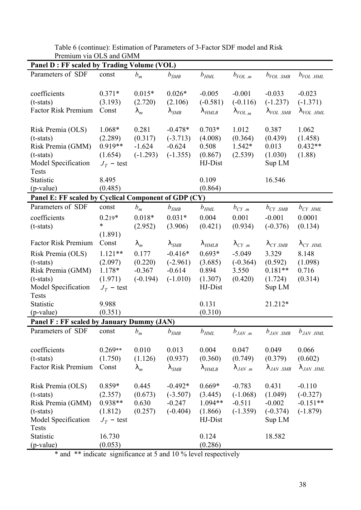|                                                                                                                                           | Panel D : FF scaled by Trading Volume (VOL)                                   |                                                              |                                                                         |                                                                           |                                                               |                                                                          |                                                           |
|-------------------------------------------------------------------------------------------------------------------------------------------|-------------------------------------------------------------------------------|--------------------------------------------------------------|-------------------------------------------------------------------------|---------------------------------------------------------------------------|---------------------------------------------------------------|--------------------------------------------------------------------------|-----------------------------------------------------------|
| Parameters of SDF                                                                                                                         | const                                                                         | $b_m$                                                        | $b_{SMB}$                                                               | $b_{HML}$                                                                 | $b_{VOL\ldots m}$                                             | $b_{VOL \, \, SMB}$                                                      | $b_{VOL \ HML}$                                           |
| coefficients<br>$(t-stats)$<br><b>Factor Risk Premium</b>                                                                                 | $0.371*$<br>(3.193)<br>Const                                                  | $0.015*$<br>(2.720)<br>$\vert_m$                             | $0.026*$<br>(2.106)<br>$\mathsf{I}_{SMB}$                               | $-0.005$<br>$(-0.581)$<br>$\mathsf{I}_{HMLB}$                             | $-0.001$<br>$(-0.116)$<br>$\vert_{VOL_{.m}}$                  | $-0.033$<br>$(-1.237)$<br>$\Gamma_{VOL \ldots SMB}$                      | $-0.023$<br>$(-1.371)$<br>$VOL$ .HML                      |
| Risk Premia (OLS)<br>$(t-stats)$<br>Risk Premia (GMM)<br>$(t-stats)$<br>Model Specification<br><b>Tests</b>                               | 1.068*<br>(2.289)<br>0.919**<br>(1.654)<br>$J_T$ – test                       | 0.281<br>(0.317)<br>$-1.624$<br>$(-1.293)$                   | $-0.478*$<br>$(-3.713)$<br>$-0.624$<br>$(-1.355)$                       | $0.703*$<br>(4.008)<br>0.508<br>(0.867)<br>HJ-Dist                        | 1.012<br>(0.364)<br>$1.542*$<br>(2.539)                       | 0.387<br>(0.439)<br>0.013<br>(1.030)<br>Sup LM                           | 1.062<br>(1.458)<br>$0.432**$<br>(1.88)                   |
| Statistic<br>(p-value)                                                                                                                    | 8.495<br>(0.485)                                                              |                                                              |                                                                         | 0.109<br>(0.864)                                                          |                                                               | 16.546                                                                   |                                                           |
| Panel E: FF scaled by Cyclical Component of GDP (CY)                                                                                      |                                                                               |                                                              |                                                                         |                                                                           |                                                               |                                                                          |                                                           |
| Parameters of SDF<br>coefficients<br>$(t-stats)$                                                                                          | const<br>$0.219*$<br>$\ast$                                                   | $b_m$<br>$0.018*$<br>(2.952)                                 | $b_{SMB}$<br>$0.031*$<br>(3.906)                                        | $b_{HML}$<br>0.004<br>(0.421)                                             | $b_{CY\ldots m}$<br>0.001<br>(0.934)                          | $b_{CY}$ $_{SMB}$<br>$-0.001$<br>$(-0.376)$                              | $b_{CY}$ .HML<br>0.0001<br>(0.134)                        |
| <b>Factor Risk Premium</b><br>Risk Premia (OLS)<br>$(t-stats)$<br>Risk Premia (GMM)<br>$(t-stats)$<br>Model Specification<br><b>Tests</b> | (1.891)<br>Const<br>$1.121**$<br>(2.097)<br>1.178*<br>(1.971)<br>$J_T$ – test | $\mathsf{I}_m$<br>0.177<br>(0.220)<br>$-0.367$<br>$(-0.194)$ | $\mathsf{I}_{SMB}$<br>$-0.416*$<br>$(-2.961)$<br>$-0.614$<br>$(-1.010)$ | $\mathsf{I}_{HMLB}$<br>$0.693*$<br>(3.685)<br>0.894<br>(1.307)<br>HJ-Dist | $\Gamma_{CY,m}$<br>$-5.049$<br>$(-0.364)$<br>3.550<br>(0.420) | $\Gamma_{CY, SMB}$<br>3.329<br>(0.592)<br>$0.181**$<br>(1.724)<br>Sup LM | $\Gamma_{CY,HML}$<br>8.148<br>(1.098)<br>0.716<br>(0.314) |
| Statistic<br>(p-value)                                                                                                                    | 9.988<br>(0.351)                                                              |                                                              |                                                                         | 0.131<br>(0.310)                                                          |                                                               | 21.212*                                                                  |                                                           |
| Panel F: FF scaled by January Dummy (JAN)                                                                                                 |                                                                               |                                                              |                                                                         |                                                                           |                                                               |                                                                          |                                                           |
| Parameters of SDF                                                                                                                         | const                                                                         | $b_m$                                                        | $b_{SMB}$                                                               | $b_{H\!M\!L}$                                                             | $b_{J\!A\!N\,.m}$                                             | $b_{JAN}$ $_{SMB}$                                                       | $b_{JAN}$ .HML                                            |
| coefficients<br>$(t-stats)$<br><b>Factor Risk Premium</b>                                                                                 | $0.269**$<br>(1.750)<br>Const                                                 | 0.010<br>(1.126)<br>$\mathsf{I}_m$                           | 0.013<br>(0.937)<br>$\vert$ SMB                                         | 0.004<br>(0.360)<br>$\vert$ HMLB                                          | 0.047<br>(0.749)<br>$\int$ JAN .m                             | 0.049<br>(0.379)<br>$\vert$ JAN .SMB                                     | 0.066<br>(0.602)<br>$\mathsf{I}_{JAN}$ .HML               |
| Risk Premia (OLS)<br>$(t-stats)$<br>Risk Premia (GMM)<br>$(t-stats)$<br>Model Specification<br><b>Tests</b><br>Statistic                  | $0.859*$<br>(2.357)<br>0.938**<br>(1.812)<br>$J_T$ – test<br>16.730           | 0.445<br>(0.673)<br>0.630<br>(0.257)                         | $-0.492*$<br>$(-3.507)$<br>$-0.247$<br>$(-0.404)$                       | $0.669*$<br>(3.445)<br>1.094**<br>(1.866)<br>HJ-Dist<br>0.124             | $-0.783$<br>$(-1.068)$<br>$-0.511$<br>$(-1.359)$              | 0.431<br>(1.049)<br>$-0.002$<br>$(-0.374)$<br>Sup LM<br>18.582           | $-0.110$<br>$(-0.327)$<br>$-0.151**$<br>$(-1.879)$        |
| (p-value)                                                                                                                                 | (0.053)                                                                       |                                                              |                                                                         | (0.286)                                                                   |                                                               |                                                                          |                                                           |

Table 6 (continue): Estimation of Parameters of 3-Factor SDF model and Risk Premium via OLS and GMM

\* and \*\* indicate significance at 5 and 10 % level respectively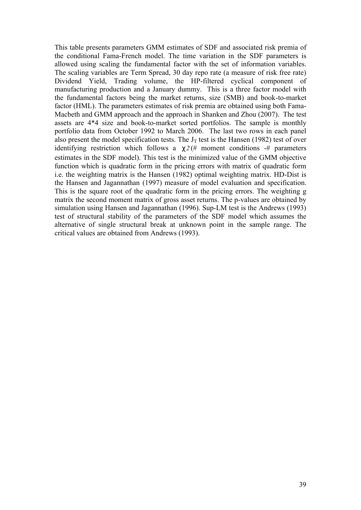This table presents parameters GMM estimates of SDF and associated risk premia of the conditional Fama-French model. The time variation in the SDF parameters is allowed using scaling the fundamental factor with the set of information variables. The scaling variables are Term Spread, 30 day repo rate (a measure of risk free rate) Dividend Yield, Trading volume, the HP-filtered cyclical component of manufacturing production and a January dummy. This is a three factor model with the fundamental factors being the market returns, size (SMB) and book-to-market factor (HML). The parameters estimates of risk premia are obtained using both Fama-Macbeth and GMM approach and the approach in Shanken and Zhou (2007). The test assets are 4\*4 size and book-to-market sorted portfolios. The sample is monthly portfolio data from October 1992 to March 2006. The last two rows in each panel also present the model specification tests. The  $J_T$  test is the Hansen (1982) test of over identifying restriction which follows a *c2* (# moment conditions -# parameters estimates in the SDF model). This test is the minimized value of the GMM objective function which is quadratic form in the pricing errors with matrix of quadratic form i.e. the weighting matrix is the Hansen (1982) optimal weighting matrix. HD-Dist is the Hansen and Jagannathan (1997) measure of model evaluation and specification. This is the square root of the quadratic form in the pricing errors. The weighting g matrix the second moment matrix of gross asset returns. The p-values are obtained by simulation using Hansen and Jagannathan (1996). Sup-LM test is the Andrews (1993) test of structural stability of the parameters of the SDF model which assumes the alternative of single structural break at unknown point in the sample range. The critical values are obtained from Andrews (1993).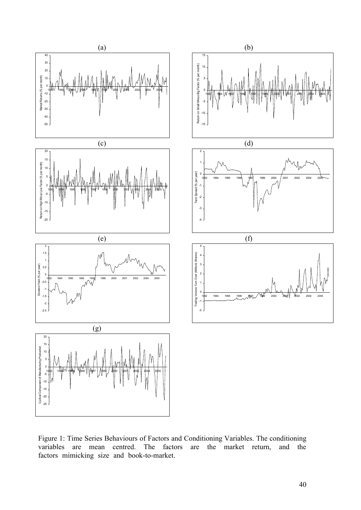

Figure 1: Time Series Behaviours of Factors and Conditioning Variables. The conditioning variables are mean centred. The factors are the market return, and the variables are mean centred. The factors are the market return, and the factors mimicking size and book-to-market.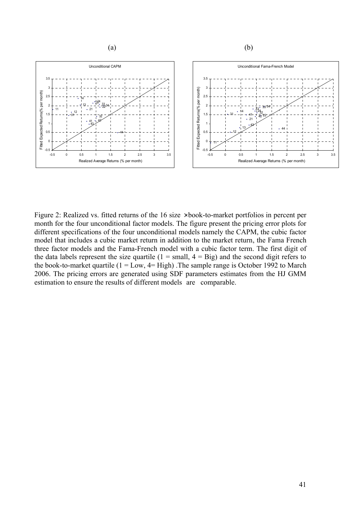

Figure 2: Realized vs. fitted returns of the 16 size  $\times$  book-to-market portfolios in percent per month for the four unconditional factor models. The figure present the pricing error plots for different specifications of the four unconditional models namely the CAPM, the cubic factor model that includes a cubic market return in addition to the market return, the Fama French three factor models and the Fama-French model with a cubic factor term. The first digit of the data labels represent the size quartile  $(1 = small, 4 = Big)$  and the second digit refers to the book-to-market quartile ( $1 = Low$ ,  $4 = High$ ). The sample range is October 1992 to March 2006. The pricing errors are generated using SDF parameters estimates from the HJ GMM estimation to ensure the results of different models are comparable.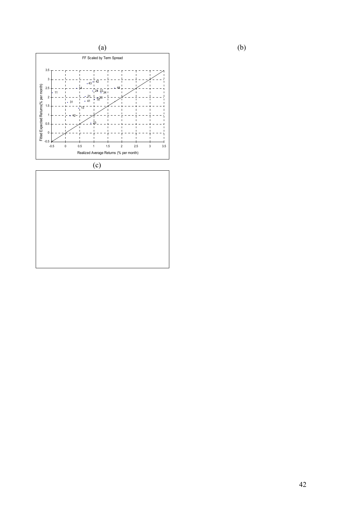

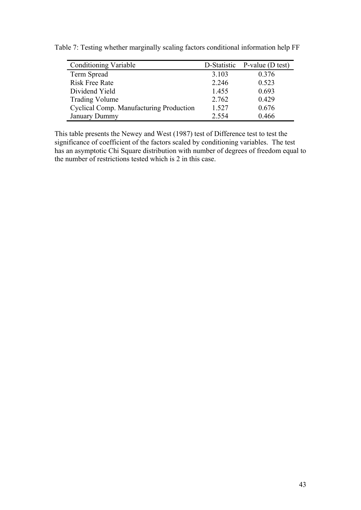| <b>Conditioning Variable</b>            | D-Statistic | P-value (D test) |
|-----------------------------------------|-------------|------------------|
| Term Spread                             | 3.103       | 0.376            |
| <b>Risk Free Rate</b>                   | 2.246       | 0.523            |
| Dividend Yield                          | 1.455       | 0.693            |
| <b>Trading Volume</b>                   | 2.762       | 0.429            |
| Cyclical Comp. Manufacturing Production | 1.527       | 0.676            |
| <b>January Dummy</b>                    | 2.554       | 0.466            |

Table 7: Testing whether marginally scaling factors conditional information help FF

This table presents the Newey and West (1987) test of Difference test to test the significance of coefficient of the factors scaled by conditioning variables. The test has an asymptotic Chi Square distribution with number of degrees of freedom equal to the number of restrictions tested which is 2 in this case.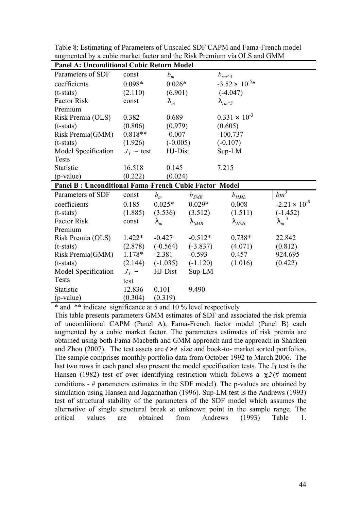| <b>Panel A: Unconditional Cubic Return Model</b>             |              |                      |             |                         |                        |  |  |  |
|--------------------------------------------------------------|--------------|----------------------|-------------|-------------------------|------------------------|--|--|--|
| Parameters of SDF                                            | const        | $b_m$                |             | $b_{rm \wedge 3}$       |                        |  |  |  |
| coefficients                                                 | $0.098*$     | $0.026*$             |             | $-3.52 \times 10^{-5*}$ |                        |  |  |  |
| $(t-stats)$                                                  | (2.110)      | (6.901)              |             | $(-4.047)$              |                        |  |  |  |
| <b>Factor Risk</b>                                           | const        | $\mathsf{I}_m$       |             | $\Gamma_{rm^2}$         |                        |  |  |  |
| Premium                                                      |              |                      |             |                         |                        |  |  |  |
| Risk Premia (OLS)                                            | 0.382        | 0.689                |             | $0.331 \times 10^{-3}$  |                        |  |  |  |
| $(t-stats)$                                                  | (0.806)      | (0.979)              |             | (0.605)                 |                        |  |  |  |
| Risk Premia(GMM)                                             | $0.818**$    | $-0.007$             |             | $-100.737$              |                        |  |  |  |
| $(t-stats)$                                                  | (1.926)      | $(-0.005)$           |             | $(-0.107)$              |                        |  |  |  |
| Model Specification                                          | $J_T$ – test | HJ-Dist              |             | Sup-LM                  |                        |  |  |  |
| Tests                                                        |              |                      |             |                         |                        |  |  |  |
| Statistic                                                    | 16.518       | 0.145                |             | 7.215                   |                        |  |  |  |
| (p-value)                                                    | (0.222)      | (0.024)              |             |                         |                        |  |  |  |
| <b>Panel B: Unconditional Fama-French Cubic Factor Model</b> |              |                      |             |                         |                        |  |  |  |
| Parameters of SDF                                            | const        | $b_m$                | $b_{SMB}$   | $b_{HML}$               | $bm^3$                 |  |  |  |
| coefficients                                                 | 0.185        | $0.025*$             | $0.029*$    | 0.008                   | $-2.21 \times 10^{-5}$ |  |  |  |
| $(t-stats)$                                                  | (1.885)      | (3.536)              | (3.512)     | (1.511)                 | $(-1.452)$             |  |  |  |
| <b>Factor Risk</b>                                           | const        | $\vert$ <sub>m</sub> | $\vert$ SMB | $\mathsf{I}_{HML}$      | 3<br>$\mathsf{I}_m$    |  |  |  |
| Premium                                                      |              |                      |             |                         |                        |  |  |  |
| Risk Premia (OLS)                                            | $1.422*$     | $-0.427$             | $-0.512*$   | $0.738*$                | 22.842                 |  |  |  |
| $(t-stats)$                                                  | (2.878)      | $(-0.564)$           | $(-3.837)$  | (4.071)                 | (0.812)                |  |  |  |
| Risk Premia(GMM)                                             | $1.178*$     | $-2.381$             | $-0.593$    | 0.457                   | 924.695                |  |  |  |
| $(t-stats)$                                                  | (2.144)      | $(-1.035)$           | $(-1.120)$  | (1.016)                 | (0.422)                |  |  |  |
| Model Specification                                          | $J_T$ –      | HJ-Dist              | Sup-LM      |                         |                        |  |  |  |
| <b>Tests</b>                                                 | test         |                      |             |                         |                        |  |  |  |
| Statistic                                                    | 12.836       | 0.101                | 9.490       |                         |                        |  |  |  |
| (p-value)                                                    | (0.304)      | (0.319)              |             |                         |                        |  |  |  |

Table 8: Estimating of Parameters of Unscaled SDF CAPM and Fama-French model augmented by a cubic market factor and the Risk Premium via OLS and GMM

\* and \*\* indicate significance at 5 and 10 % level respectively

This table presents parameters GMM estimates of SDF and associated the risk premia of unconditional CAPM (Panel A), Fama-French factor model (Panel B) each augmented by a cubic market factor. The parameters estimates of risk premia are obtained using both Fama-Macbeth and GMM approach and the approach in Shanken and Zhou (2007). The test assets are  $4 \times 4$  size and book-to- market sorted portfolios. The sample comprises monthly portfolio data from October 1992 to March 2006. The last two rows in each panel also present the model specification tests. The  $J_T$  test is the Hansen (1982) test of over identifying restriction which follows a *c2* (# moment conditions - # parameters estimates in the SDF model). The p-values are obtained by simulation using Hansen and Jagannathan (1996). Sup-LM test is the Andrews (1993) test of structural stability of the parameters of the SDF model which assumes the alternative of single structural break at unknown point in the sample range. The critical values are obtained from Andrews (1993) Table 1.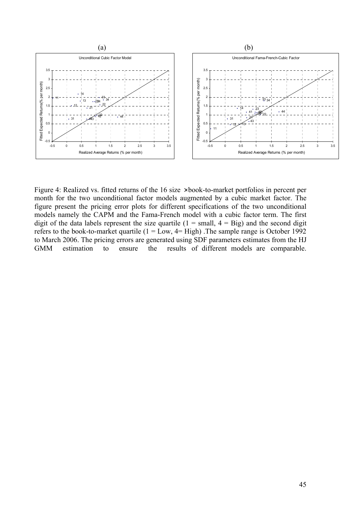

Figure 4: Realized vs. fitted returns of the 16 size  $\times$  book-to-market portfolios in percent per month for the two unconditional factor models augmented by a cubic market factor. The figure present the pricing error plots for different specifications of the two unconditional models namely the CAPM and the Fama-French model with a cubic factor term. The first digit of the data labels represent the size quartile  $(1 = small, 4 = Big)$  and the second digit refers to the book-to-market quartile  $(1 = Low, 4 = High)$ . The sample range is October 1992 to March 2006. The pricing errors are generated using SDF parameters estimates from the HJ GMM estimation to ensure the results of different models are comparable.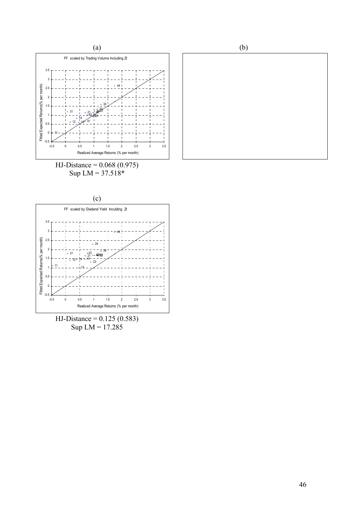

Sup  $LM = 37.518*$ 



HJ-Distance = 0.125 (0.583) Sup  $LM = 17.285$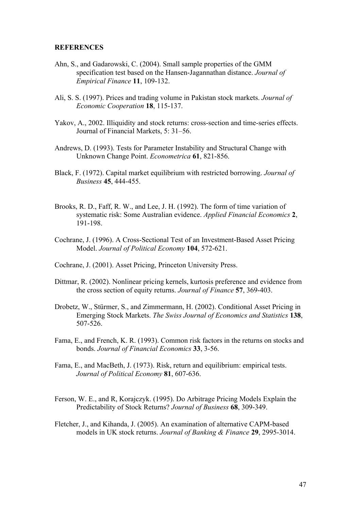#### **REFERENCES**

- Ahn, S., and Gadarowski, C. (2004). Small sample properties of the GMM specification test based on the Hansen-Jagannathan distance. *Journal of Empirical Finance* **11**, 109-132.
- Ali, S. S. (1997). Prices and trading volume in Pakistan stock markets. *Journal of Economic Cooperation* **18**, 115-137.
- Yakov, A., 2002. Illiquidity and stock returns: cross-section and time-series effects. Journal of Financial Markets, 5: 31–56.
- Andrews, D. (1993). Tests for Parameter Instability and Structural Change with Unknown Change Point. *Econometrica* **61**, 821-856.
- Black, F. (1972). Capital market equilibrium with restricted borrowing. *Journal of Business* **45**, 444-455.
- Brooks, R. D., Faff, R. W., and Lee, J. H. (1992). The form of time variation of systematic risk: Some Australian evidence. *Applied Financial Economics* **2**, 191-198.
- Cochrane, J. (1996). A Cross-Sectional Test of an Investment-Based Asset Pricing Model. *Journal of Political Economy* **104**, 572-621.
- Cochrane, J. (2001). Asset Pricing, Princeton University Press.
- Dittmar, R. (2002). Nonlinear pricing kernels, kurtosis preference and evidence from the cross section of equity returns. *Journal of Finance* **57**, 369-403.
- Drobetz, W., Stürmer, S., and Zimmermann, H. (2002). Conditional Asset Pricing in Emerging Stock Markets. *The Swiss Journal of Economics and Statistics* **138**, 507-526.
- Fama, E., and French, K. R. (1993). Common risk factors in the returns on stocks and bonds. *Journal of Financial Economics* **33**, 3-56.
- Fama, E., and MacBeth, J. (1973). Risk, return and equilibrium: empirical tests. *Journal of Political Economy* **81**, 607-636.
- Ferson, W. E., and R, Korajczyk. (1995). Do Arbitrage Pricing Models Explain the Predictability of Stock Returns? *Journal of Business* **68**, 309-349.
- Fletcher, J., and Kihanda, J. (2005). An examination of alternative CAPM-based models in UK stock returns. *Journal of Banking & Finance* **29**, 2995-3014.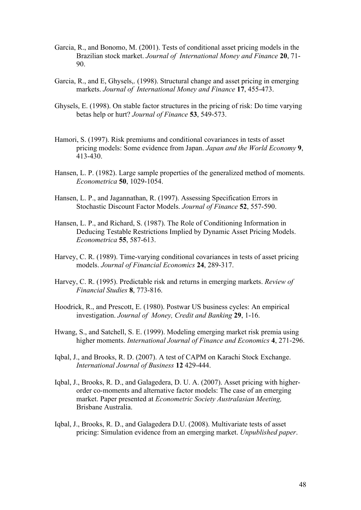- Garcia, R., and Bonomo, M. (2001). Tests of conditional asset pricing models in the Brazilian stock market. *Journal of International Money and Finance* **20**, 71- 90.
- Garcia, R., and E, Ghysels,. (1998). Structural change and asset pricing in emerging markets. *Journal of International Money and Finance* **17**, 455-473.
- Ghysels, E. (1998). On stable factor structures in the pricing of risk: Do time varying betas help or hurt? *Journal of Finance* **53**, 549-573.
- Hamori, S. (1997). Risk premiums and conditional covariances in tests of asset pricing models: Some evidence from Japan. *Japan and the World Economy* **9**, 413-430.
- Hansen, L. P. (1982). Large sample properties of the generalized method of moments. *Econometrica* **50**, 1029-1054.
- Hansen, L. P., and Jagannathan, R. (1997). Assessing Specification Errors in Stochastic Discount Factor Models. *Journal of Finance* **52**, 557-590.
- Hansen, L. P., and Richard, S. (1987). The Role of Conditioning Information in Deducing Testable Restrictions Implied by Dynamic Asset Pricing Models. *Econometrica* **55**, 587-613.
- Harvey, C. R. (1989). Time-varying conditional covariances in tests of asset pricing models. *Journal of Financial Economics* **24**, 289-317.
- Harvey, C. R. (1995). Predictable risk and returns in emerging markets. *Review of Financial Studies* **8**, 773-816.
- Hoodrick, R., and Prescott, E. (1980). Postwar US business cycles: An empirical investigation. *Journal of Money, Credit and Banking* **29**, 1-16.
- Hwang, S., and Satchell, S. E. (1999). Modeling emerging market risk premia using higher moments. *International Journal of Finance and Economics* **4**, 271-296.
- Iqbal, J., and Brooks, R. D. (2007). A test of CAPM on Karachi Stock Exchange. *International Journal of Business* **12** 429-444.
- Iqbal, J., Brooks, R. D., and Galagedera, D. U. A. (2007). Asset pricing with higherorder co-moments and alternative factor models: The case of an emerging market. Paper presented at *Econometric Society Australasian Meeting,*  Brisbane Australia.
- Iqbal, J., Brooks, R. D., and Galagedera D.U. (2008). Multivariate tests of asset pricing: Simulation evidence from an emerging market. *Unpublished paper*.